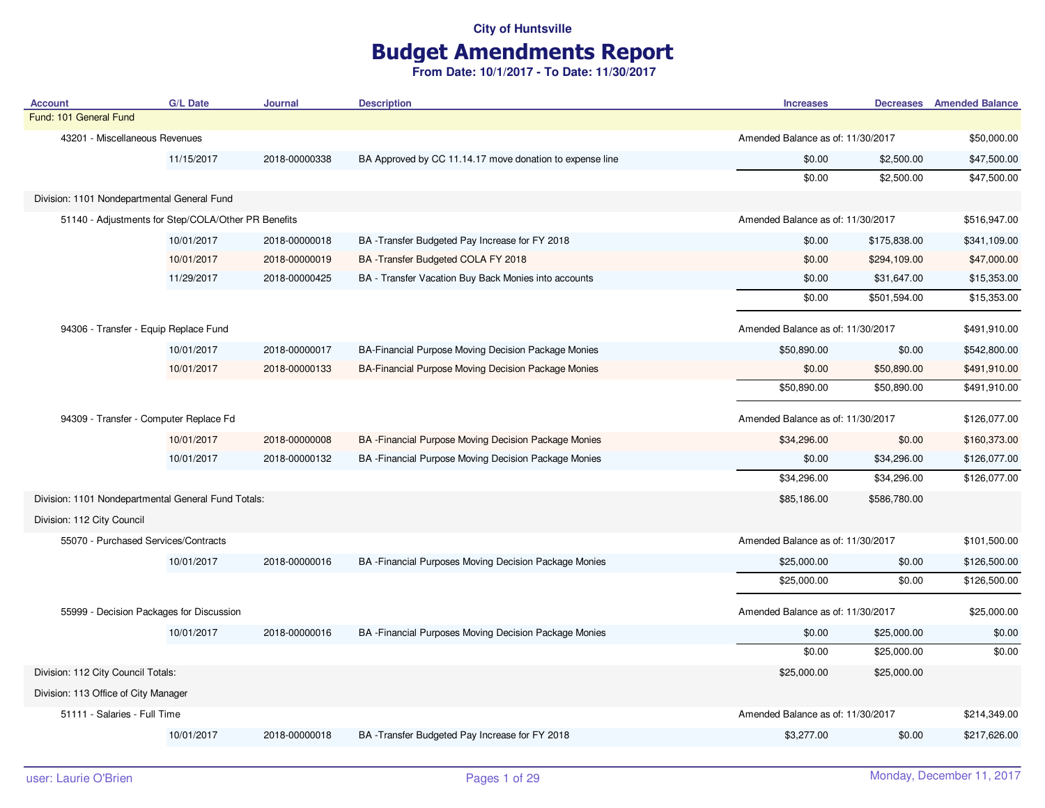## Budget Amendments Report

| <b>Account</b>                                      | <b>G/L Date</b>                                     | <b>Journal</b> | <b>Description</b>                                       | <b>Increases</b>                  |                                   | <b>Decreases</b> Amended Balance |
|-----------------------------------------------------|-----------------------------------------------------|----------------|----------------------------------------------------------|-----------------------------------|-----------------------------------|----------------------------------|
| Fund: 101 General Fund                              |                                                     |                |                                                          |                                   |                                   |                                  |
| 43201 - Miscellaneous Revenues                      |                                                     |                |                                                          | Amended Balance as of: 11/30/2017 |                                   | \$50,000.00                      |
|                                                     | 11/15/2017                                          | 2018-00000338  | BA Approved by CC 11.14.17 move donation to expense line | \$0.00                            | \$2,500.00                        | \$47,500.00                      |
|                                                     |                                                     |                |                                                          | \$0.00                            | \$2,500.00                        | \$47,500.00                      |
| Division: 1101 Nondepartmental General Fund         |                                                     |                |                                                          |                                   |                                   |                                  |
|                                                     | 51140 - Adjustments for Step/COLA/Other PR Benefits |                |                                                          |                                   | Amended Balance as of: 11/30/2017 |                                  |
|                                                     | 10/01/2017                                          | 2018-00000018  | BA-Transfer Budgeted Pay Increase for FY 2018            | \$0.00                            | \$175,838.00                      | \$341,109.00                     |
|                                                     | 10/01/2017                                          | 2018-00000019  | BA -Transfer Budgeted COLA FY 2018                       | \$0.00                            | \$294,109.00                      | \$47,000.00                      |
|                                                     | 11/29/2017                                          | 2018-00000425  | BA - Transfer Vacation Buy Back Monies into accounts     | \$0.00                            | \$31,647.00                       | \$15,353.00                      |
|                                                     |                                                     |                |                                                          | \$0.00                            | \$501,594.00                      | \$15,353.00                      |
| 94306 - Transfer - Equip Replace Fund               |                                                     |                |                                                          | Amended Balance as of: 11/30/2017 |                                   | \$491,910.00                     |
|                                                     | 10/01/2017                                          | 2018-00000017  | BA-Financial Purpose Moving Decision Package Monies      | \$50,890.00                       | \$0.00                            | \$542,800.00                     |
|                                                     | 10/01/2017                                          | 2018-00000133  | BA-Financial Purpose Moving Decision Package Monies      | \$0.00                            | \$50,890.00                       | \$491,910.00                     |
|                                                     |                                                     |                |                                                          | \$50,890.00                       | \$50,890.00                       | \$491,910.00                     |
| 94309 - Transfer - Computer Replace Fd              |                                                     |                |                                                          | Amended Balance as of: 11/30/2017 |                                   | \$126,077.00                     |
|                                                     | 10/01/2017                                          | 2018-00000008  | BA - Financial Purpose Moving Decision Package Monies    | \$34,296.00                       | \$0.00                            | \$160,373.00                     |
|                                                     | 10/01/2017                                          | 2018-00000132  | BA - Financial Purpose Moving Decision Package Monies    | \$0.00                            | \$34,296.00                       | \$126,077.00                     |
|                                                     |                                                     |                |                                                          | \$34,296.00                       | \$34,296.00                       | \$126,077.00                     |
| Division: 1101 Nondepartmental General Fund Totals: |                                                     |                |                                                          | \$85,186.00                       | \$586,780.00                      |                                  |
| Division: 112 City Council                          |                                                     |                |                                                          |                                   |                                   |                                  |
| 55070 - Purchased Services/Contracts                |                                                     |                |                                                          | Amended Balance as of: 11/30/2017 |                                   | \$101,500.00                     |
|                                                     | 10/01/2017                                          | 2018-00000016  | BA - Financial Purposes Moving Decision Package Monies   | \$25,000.00                       | \$0.00                            | \$126,500.00                     |
|                                                     |                                                     |                |                                                          | \$25,000.00                       | \$0.00                            | \$126,500.00                     |
|                                                     | 55999 - Decision Packages for Discussion            |                |                                                          | Amended Balance as of: 11/30/2017 |                                   | \$25,000.00                      |
|                                                     | 10/01/2017                                          | 2018-00000016  | BA - Financial Purposes Moving Decision Package Monies   | \$0.00                            | \$25,000.00                       | \$0.00                           |
|                                                     |                                                     |                |                                                          | \$0.00                            | \$25,000.00                       | \$0.00                           |
| Division: 112 City Council Totals:                  |                                                     |                |                                                          | \$25,000.00                       | \$25,000.00                       |                                  |
| Division: 113 Office of City Manager                |                                                     |                |                                                          |                                   |                                   |                                  |
| 51111 - Salaries - Full Time                        |                                                     |                |                                                          | Amended Balance as of: 11/30/2017 |                                   | \$214,349.00                     |
|                                                     | 10/01/2017                                          | 2018-00000018  | BA -Transfer Budgeted Pay Increase for FY 2018           | \$3,277.00                        | \$0.00                            | \$217,626.00                     |
|                                                     |                                                     |                |                                                          |                                   |                                   |                                  |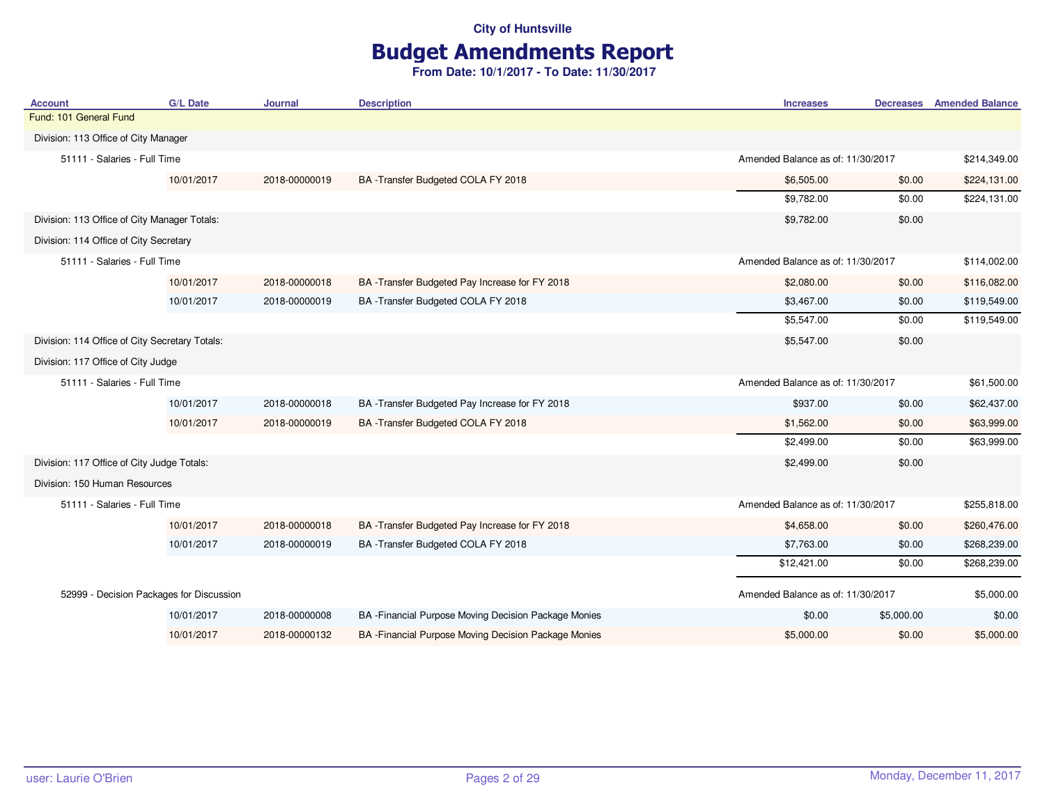# Budget Amendments Report

| <b>Account</b>                                 | <b>G/L Date</b> | <b>Journal</b> | <b>Description</b>                                    | <b>Increases</b>                  |                                   | <b>Decreases</b> Amended Balance |
|------------------------------------------------|-----------------|----------------|-------------------------------------------------------|-----------------------------------|-----------------------------------|----------------------------------|
| Fund: 101 General Fund                         |                 |                |                                                       |                                   |                                   |                                  |
| Division: 113 Office of City Manager           |                 |                |                                                       |                                   |                                   |                                  |
| 51111 - Salaries - Full Time                   |                 |                |                                                       |                                   | Amended Balance as of: 11/30/2017 |                                  |
|                                                | 10/01/2017      | 2018-00000019  | BA-Transfer Budgeted COLA FY 2018                     | \$6,505.00                        | \$0.00                            | \$224,131.00                     |
|                                                |                 |                |                                                       | \$9,782.00                        | \$0.00                            | \$224,131.00                     |
| Division: 113 Office of City Manager Totals:   |                 |                |                                                       | \$9,782.00                        | \$0.00                            |                                  |
| Division: 114 Office of City Secretary         |                 |                |                                                       |                                   |                                   |                                  |
| 51111 - Salaries - Full Time                   |                 |                |                                                       | Amended Balance as of: 11/30/2017 |                                   | \$114,002.00                     |
|                                                | 10/01/2017      | 2018-00000018  | BA-Transfer Budgeted Pay Increase for FY 2018         | \$2,080.00                        | \$0.00                            | \$116,082.00                     |
|                                                | 10/01/2017      | 2018-00000019  | BA -Transfer Budgeted COLA FY 2018                    | \$3,467.00                        | \$0.00                            | \$119,549.00                     |
|                                                |                 |                |                                                       | \$5,547.00                        | \$0.00                            | \$119,549.00                     |
| Division: 114 Office of City Secretary Totals: |                 |                |                                                       | \$5,547.00                        | \$0.00                            |                                  |
| Division: 117 Office of City Judge             |                 |                |                                                       |                                   |                                   |                                  |
| 51111 - Salaries - Full Time                   |                 |                |                                                       | Amended Balance as of: 11/30/2017 |                                   | \$61,500.00                      |
|                                                | 10/01/2017      | 2018-00000018  | BA -Transfer Budgeted Pay Increase for FY 2018        | \$937.00                          | \$0.00                            | \$62,437.00                      |
|                                                | 10/01/2017      | 2018-00000019  | BA-Transfer Budgeted COLA FY 2018                     | \$1,562.00                        | \$0.00                            | \$63,999.00                      |
|                                                |                 |                |                                                       | \$2,499.00                        | \$0.00                            | \$63,999.00                      |
| Division: 117 Office of City Judge Totals:     |                 |                |                                                       | \$2,499.00                        | \$0.00                            |                                  |
| Division: 150 Human Resources                  |                 |                |                                                       |                                   |                                   |                                  |
| 51111 - Salaries - Full Time                   |                 |                |                                                       | Amended Balance as of: 11/30/2017 |                                   | \$255,818.00                     |
|                                                | 10/01/2017      | 2018-00000018  | BA -Transfer Budgeted Pay Increase for FY 2018        | \$4,658.00                        | \$0.00                            | \$260,476.00                     |
|                                                | 10/01/2017      | 2018-00000019  | BA -Transfer Budgeted COLA FY 2018                    | \$7,763.00                        | \$0.00                            | \$268,239.00                     |
|                                                |                 |                |                                                       | \$12,421.00                       | \$0.00                            | \$268,239.00                     |
| 52999 - Decision Packages for Discussion       |                 |                |                                                       | Amended Balance as of: 11/30/2017 |                                   | \$5,000.00                       |
|                                                | 10/01/2017      | 2018-00000008  | BA - Financial Purpose Moving Decision Package Monies | \$0.00                            | \$5,000.00                        | \$0.00                           |
|                                                | 10/01/2017      | 2018-00000132  | BA - Financial Purpose Moving Decision Package Monies | \$5,000.00                        | \$0.00                            | \$5,000.00                       |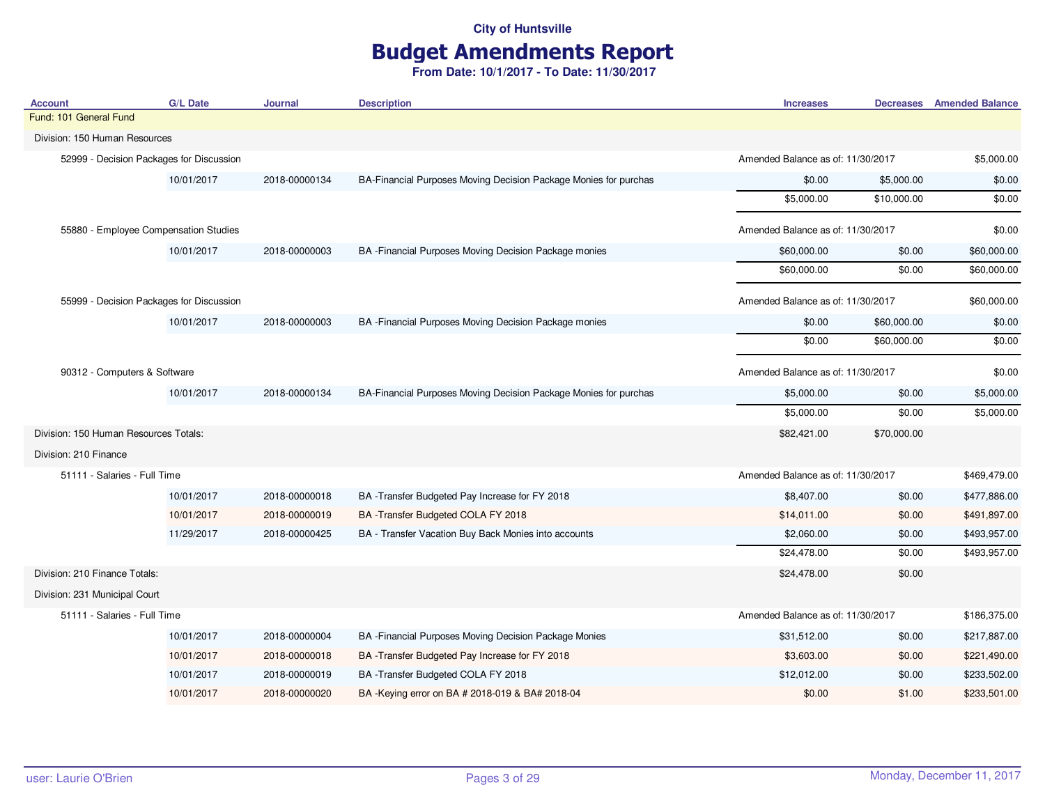## Budget Amendments Report

| <b>Account</b>                           | <b>G/L Date</b> | <b>Journal</b> | <b>Description</b>                                               | <b>Increases</b>                  |             | <b>Decreases</b> Amended Balance |
|------------------------------------------|-----------------|----------------|------------------------------------------------------------------|-----------------------------------|-------------|----------------------------------|
| Fund: 101 General Fund                   |                 |                |                                                                  |                                   |             |                                  |
| Division: 150 Human Resources            |                 |                |                                                                  |                                   |             |                                  |
| 52999 - Decision Packages for Discussion |                 |                |                                                                  | Amended Balance as of: 11/30/2017 |             | \$5,000.00                       |
|                                          | 10/01/2017      | 2018-00000134  | BA-Financial Purposes Moving Decision Package Monies for purchas | \$0.00                            | \$5,000.00  | \$0.00                           |
|                                          |                 |                |                                                                  | \$5,000.00                        | \$10,000.00 | \$0.00                           |
| 55880 - Employee Compensation Studies    |                 |                |                                                                  | Amended Balance as of: 11/30/2017 |             | \$0.00                           |
|                                          | 10/01/2017      | 2018-00000003  | BA - Financial Purposes Moving Decision Package monies           | \$60,000.00                       | \$0.00      | \$60,000.00                      |
|                                          |                 |                |                                                                  | \$60,000.00                       | \$0.00      | \$60,000.00                      |
| 55999 - Decision Packages for Discussion |                 |                |                                                                  | Amended Balance as of: 11/30/2017 |             | \$60,000.00                      |
|                                          | 10/01/2017      | 2018-00000003  | BA - Financial Purposes Moving Decision Package monies           | \$0.00                            | \$60,000.00 | \$0.00                           |
|                                          |                 |                |                                                                  | \$0.00                            | \$60,000.00 | \$0.00                           |
| 90312 - Computers & Software             |                 |                | Amended Balance as of: 11/30/2017                                |                                   | \$0.00      |                                  |
|                                          | 10/01/2017      | 2018-00000134  | BA-Financial Purposes Moving Decision Package Monies for purchas | \$5,000.00                        | \$0.00      | \$5,000.00                       |
|                                          |                 |                |                                                                  | \$5,000.00                        | \$0.00      | \$5,000.00                       |
| Division: 150 Human Resources Totals:    |                 |                |                                                                  | \$82,421.00                       | \$70,000.00 |                                  |
| Division: 210 Finance                    |                 |                |                                                                  |                                   |             |                                  |
| 51111 - Salaries - Full Time             |                 |                |                                                                  | Amended Balance as of: 11/30/2017 |             | \$469,479.00                     |
|                                          | 10/01/2017      | 2018-00000018  | BA -Transfer Budgeted Pay Increase for FY 2018                   | \$8,407.00                        | \$0.00      | \$477,886.00                     |
|                                          | 10/01/2017      | 2018-00000019  | BA-Transfer Budgeted COLA FY 2018                                | \$14,011.00                       | \$0.00      | \$491,897.00                     |
|                                          | 11/29/2017      | 2018-00000425  | BA - Transfer Vacation Buy Back Monies into accounts             | \$2,060.00                        | \$0.00      | \$493,957.00                     |
|                                          |                 |                |                                                                  | \$24,478.00                       | \$0.00      | \$493,957.00                     |
| Division: 210 Finance Totals:            |                 |                |                                                                  | \$24,478.00                       | \$0.00      |                                  |
| Division: 231 Municipal Court            |                 |                |                                                                  |                                   |             |                                  |
| 51111 - Salaries - Full Time             |                 |                |                                                                  | Amended Balance as of: 11/30/2017 |             | \$186,375.00                     |
|                                          | 10/01/2017      | 2018-00000004  | BA - Financial Purposes Moving Decision Package Monies           | \$31,512.00                       | \$0.00      | \$217,887.00                     |
|                                          | 10/01/2017      | 2018-00000018  | BA -Transfer Budgeted Pay Increase for FY 2018                   | \$3,603.00                        | \$0.00      | \$221,490.00                     |
|                                          | 10/01/2017      | 2018-00000019  | BA-Transfer Budgeted COLA FY 2018                                | \$12,012.00                       | \$0.00      | \$233,502.00                     |
|                                          | 10/01/2017      | 2018-00000020  | BA -Keying error on BA # 2018-019 & BA# 2018-04                  | \$0.00                            | \$1.00      | \$233,501.00                     |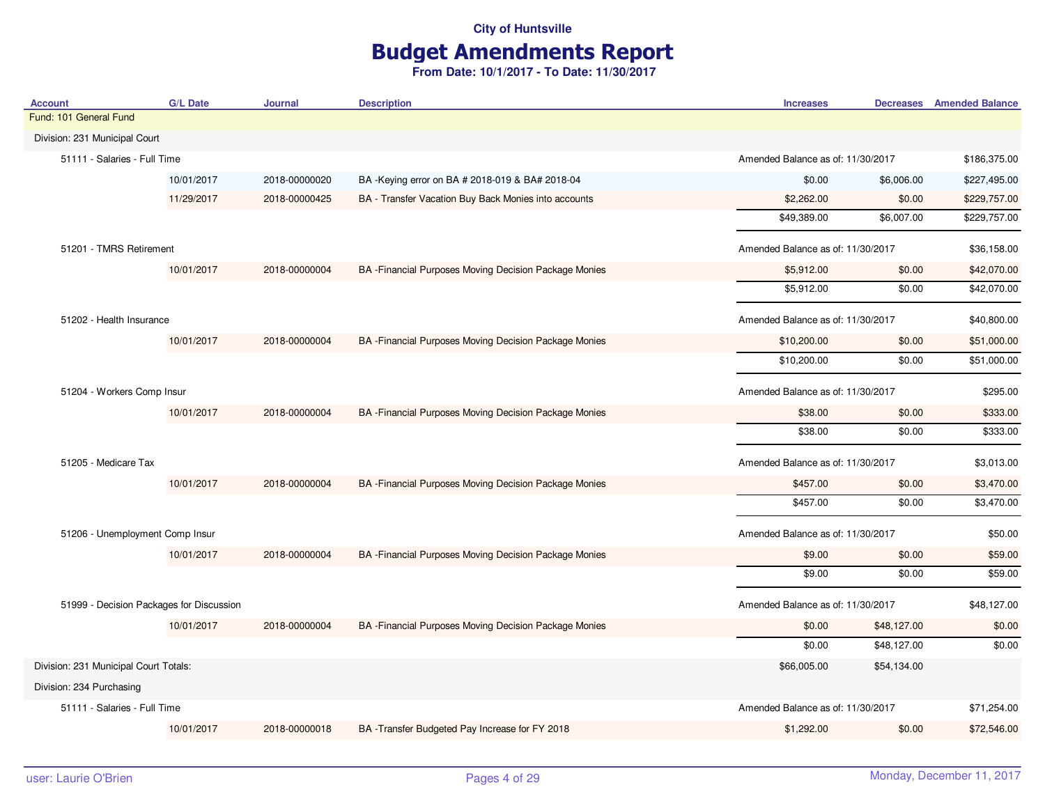## Budget Amendments Report

| <b>Account</b>                           | <b>G/L Date</b>          | <b>Journal</b>                                         | <b>Description</b>                                     | <b>Increases</b>                  |                                   | <b>Decreases</b> Amended Balance |
|------------------------------------------|--------------------------|--------------------------------------------------------|--------------------------------------------------------|-----------------------------------|-----------------------------------|----------------------------------|
| Fund: 101 General Fund                   |                          |                                                        |                                                        |                                   |                                   |                                  |
| Division: 231 Municipal Court            |                          |                                                        |                                                        |                                   |                                   |                                  |
| 51111 - Salaries - Full Time             |                          |                                                        |                                                        | Amended Balance as of: 11/30/2017 |                                   | \$186,375.00                     |
|                                          | 10/01/2017               | 2018-00000020                                          | BA -Keying error on BA # 2018-019 & BA# 2018-04        | \$0.00                            | \$6,006.00                        | \$227,495.00                     |
|                                          | 11/29/2017               | 2018-00000425                                          | BA - Transfer Vacation Buy Back Monies into accounts   | \$2,262.00                        | \$0.00                            | \$229,757.00                     |
|                                          |                          |                                                        |                                                        | \$49,389.00                       | \$6,007.00                        | \$229,757.00                     |
| 51201 - TMRS Retirement                  |                          |                                                        |                                                        | Amended Balance as of: 11/30/2017 |                                   | \$36,158.00                      |
|                                          | 10/01/2017               | 2018-00000004                                          | BA - Financial Purposes Moving Decision Package Monies | \$5,912.00                        | \$0.00                            | \$42,070.00                      |
|                                          |                          |                                                        |                                                        | \$5,912.00                        | \$0.00                            | \$42,070.00                      |
|                                          | 51202 - Health Insurance |                                                        |                                                        |                                   | Amended Balance as of: 11/30/2017 | \$40,800.00                      |
|                                          | 10/01/2017               | 2018-00000004                                          | BA - Financial Purposes Moving Decision Package Monies | \$10,200.00                       | \$0.00                            | \$51,000.00                      |
|                                          |                          |                                                        |                                                        | \$10,200.00                       | \$0.00                            | \$51,000.00                      |
| 51204 - Workers Comp Insur               |                          |                                                        |                                                        |                                   | Amended Balance as of: 11/30/2017 |                                  |
| 10/01/2017                               | 2018-00000004            | BA - Financial Purposes Moving Decision Package Monies | \$38.00                                                | \$0.00                            | \$333.00                          |                                  |
|                                          |                          |                                                        |                                                        | \$38.00                           | \$0.00                            | \$333.00                         |
| 51205 - Medicare Tax                     |                          |                                                        |                                                        |                                   | Amended Balance as of: 11/30/2017 |                                  |
|                                          | 10/01/2017               | 2018-00000004                                          | BA - Financial Purposes Moving Decision Package Monies | \$457.00                          | \$0.00                            | \$3,470.00                       |
|                                          |                          |                                                        |                                                        | \$457.00                          | \$0.00                            | \$3,470.00                       |
| 51206 - Unemployment Comp Insur          |                          |                                                        |                                                        | Amended Balance as of: 11/30/2017 |                                   | \$50.00                          |
|                                          | 10/01/2017               | 2018-00000004                                          | BA - Financial Purposes Moving Decision Package Monies | \$9.00                            | \$0.00                            | \$59.00                          |
|                                          |                          |                                                        |                                                        | \$9.00                            | \$0.00                            | \$59.00                          |
| 51999 - Decision Packages for Discussion |                          |                                                        |                                                        | Amended Balance as of: 11/30/2017 |                                   | \$48,127.00                      |
|                                          | 10/01/2017               | 2018-00000004                                          | BA - Financial Purposes Moving Decision Package Monies | \$0.00                            | \$48,127.00                       | \$0.00                           |
|                                          |                          |                                                        |                                                        | \$0.00                            | \$48,127.00                       | \$0.00                           |
| Division: 231 Municipal Court Totals:    |                          |                                                        |                                                        | \$66,005.00                       | \$54,134.00                       |                                  |
| Division: 234 Purchasing                 |                          |                                                        |                                                        |                                   |                                   |                                  |
| 51111 - Salaries - Full Time             |                          |                                                        |                                                        | Amended Balance as of: 11/30/2017 |                                   | \$71,254.00                      |
|                                          | 10/01/2017               | 2018-00000018                                          | BA -Transfer Budgeted Pay Increase for FY 2018         | \$1,292.00                        | \$0.00                            | \$72,546.00                      |
|                                          |                          |                                                        |                                                        |                                   |                                   |                                  |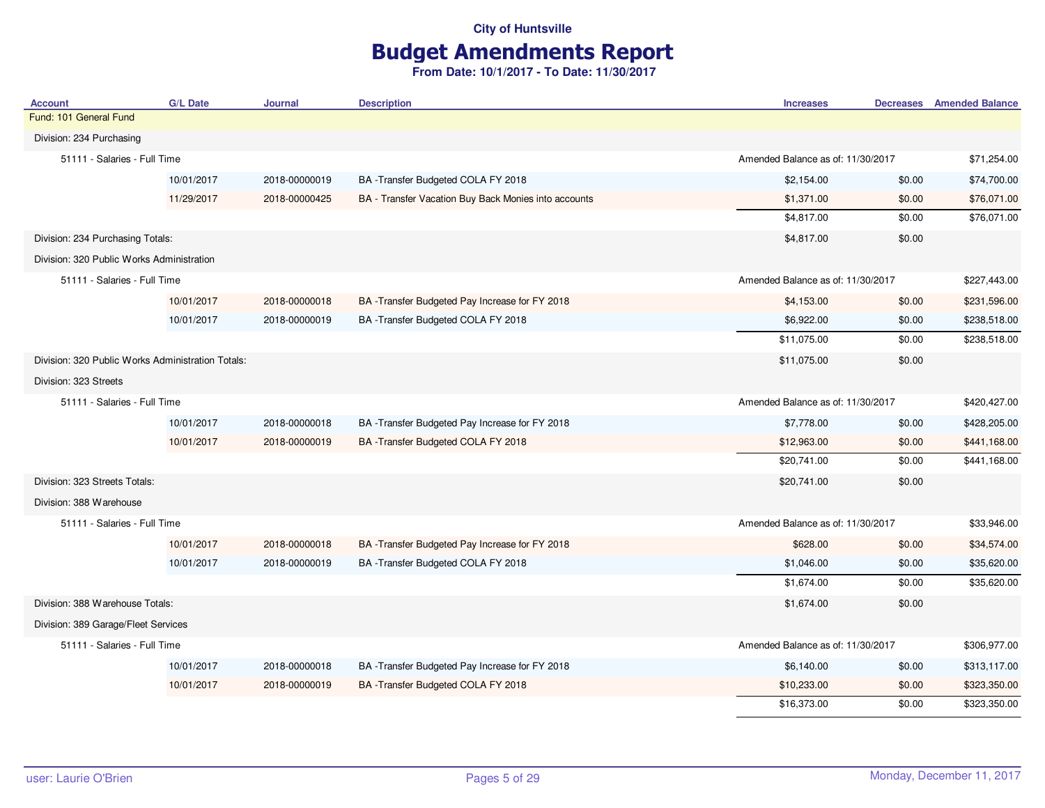# Budget Amendments Report

| <b>Account</b>                                    | <b>G/L Date</b> | <b>Journal</b> | <b>Description</b>                                   | <b>Increases</b>                  |        | <b>Decreases</b> Amended Balance |
|---------------------------------------------------|-----------------|----------------|------------------------------------------------------|-----------------------------------|--------|----------------------------------|
| Fund: 101 General Fund                            |                 |                |                                                      |                                   |        |                                  |
| Division: 234 Purchasing                          |                 |                |                                                      |                                   |        |                                  |
| 51111 - Salaries - Full Time                      |                 |                |                                                      | Amended Balance as of: 11/30/2017 |        | \$71,254.00                      |
|                                                   | 10/01/2017      | 2018-00000019  | BA -Transfer Budgeted COLA FY 2018                   | \$2,154.00                        | \$0.00 | \$74,700.00                      |
|                                                   | 11/29/2017      | 2018-00000425  | BA - Transfer Vacation Buy Back Monies into accounts | \$1,371.00                        | \$0.00 | \$76,071.00                      |
|                                                   |                 |                |                                                      | \$4,817.00                        | \$0.00 | \$76,071.00                      |
| Division: 234 Purchasing Totals:                  |                 |                |                                                      | \$4,817.00                        | \$0.00 |                                  |
| Division: 320 Public Works Administration         |                 |                |                                                      |                                   |        |                                  |
| 51111 - Salaries - Full Time                      |                 |                |                                                      | Amended Balance as of: 11/30/2017 |        | \$227,443.00                     |
|                                                   | 10/01/2017      | 2018-00000018  | BA -Transfer Budgeted Pay Increase for FY 2018       | \$4,153.00                        | \$0.00 | \$231,596.00                     |
|                                                   | 10/01/2017      | 2018-00000019  | BA -Transfer Budgeted COLA FY 2018                   | \$6,922.00                        | \$0.00 | \$238,518.00                     |
|                                                   |                 |                |                                                      | \$11,075.00                       | \$0.00 | \$238,518.00                     |
| Division: 320 Public Works Administration Totals: |                 |                |                                                      | \$11,075.00                       | \$0.00 |                                  |
| Division: 323 Streets                             |                 |                |                                                      |                                   |        |                                  |
| 51111 - Salaries - Full Time                      |                 |                |                                                      | Amended Balance as of: 11/30/2017 |        | \$420,427.00                     |
|                                                   | 10/01/2017      | 2018-00000018  | BA -Transfer Budgeted Pay Increase for FY 2018       | \$7,778.00                        | \$0.00 | \$428,205.00                     |
|                                                   | 10/01/2017      | 2018-00000019  | BA-Transfer Budgeted COLA FY 2018                    | \$12,963.00                       | \$0.00 | \$441,168.00                     |
|                                                   |                 |                |                                                      | \$20,741.00                       | \$0.00 | \$441,168.00                     |
| Division: 323 Streets Totals:                     |                 |                |                                                      | \$20,741.00                       | \$0.00 |                                  |
| Division: 388 Warehouse                           |                 |                |                                                      |                                   |        |                                  |
| 51111 - Salaries - Full Time                      |                 |                |                                                      | Amended Balance as of: 11/30/2017 |        | \$33,946.00                      |
|                                                   | 10/01/2017      | 2018-00000018  | BA -Transfer Budgeted Pay Increase for FY 2018       | \$628.00                          | \$0.00 | \$34,574.00                      |
|                                                   | 10/01/2017      | 2018-00000019  | BA-Transfer Budgeted COLA FY 2018                    | \$1,046.00                        | \$0.00 | \$35,620.00                      |
|                                                   |                 |                |                                                      | \$1,674.00                        | \$0.00 | \$35,620.00                      |
| Division: 388 Warehouse Totals:                   |                 |                |                                                      | \$1,674.00                        | \$0.00 |                                  |
| Division: 389 Garage/Fleet Services               |                 |                |                                                      |                                   |        |                                  |
| 51111 - Salaries - Full Time                      |                 |                |                                                      | Amended Balance as of: 11/30/2017 |        | \$306,977.00                     |
|                                                   | 10/01/2017      | 2018-00000018  | BA -Transfer Budgeted Pay Increase for FY 2018       | \$6,140.00                        | \$0.00 | \$313,117.00                     |
|                                                   | 10/01/2017      | 2018-00000019  | BA-Transfer Budgeted COLA FY 2018                    | \$10,233.00                       | \$0.00 | \$323,350.00                     |
|                                                   |                 |                |                                                      | \$16,373.00                       | \$0.00 | \$323,350.00                     |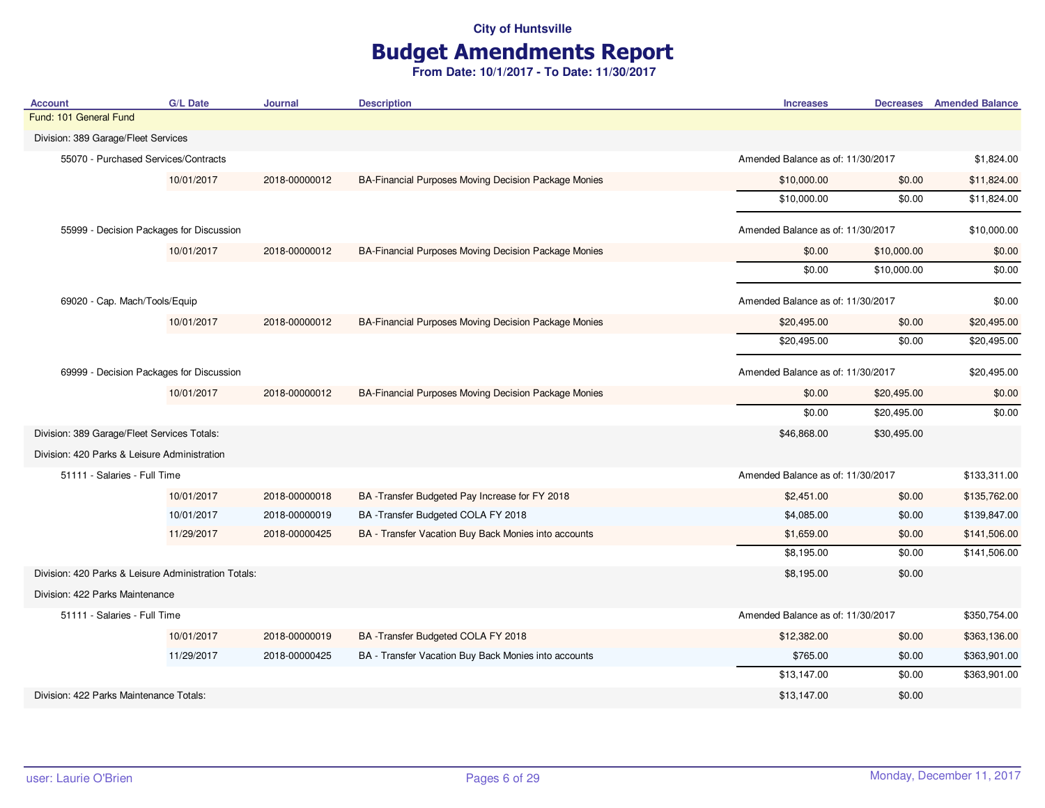## Budget Amendments Report

| <b>Account</b>                                       | <b>G/L Date</b> | Journal       | <b>Description</b>                                   | <b>Increases</b>                  |             | <b>Decreases</b> Amended Balance |
|------------------------------------------------------|-----------------|---------------|------------------------------------------------------|-----------------------------------|-------------|----------------------------------|
| Fund: 101 General Fund                               |                 |               |                                                      |                                   |             |                                  |
| Division: 389 Garage/Fleet Services                  |                 |               |                                                      |                                   |             |                                  |
| 55070 - Purchased Services/Contracts                 |                 |               |                                                      | Amended Balance as of: 11/30/2017 |             | \$1,824.00                       |
|                                                      | 10/01/2017      | 2018-00000012 | BA-Financial Purposes Moving Decision Package Monies | \$10,000.00                       | \$0.00      | \$11,824.00                      |
|                                                      |                 |               |                                                      | \$10,000.00                       | \$0.00      | \$11,824.00                      |
| 55999 - Decision Packages for Discussion             |                 |               |                                                      | Amended Balance as of: 11/30/2017 |             | \$10,000.00                      |
|                                                      | 10/01/2017      | 2018-00000012 | BA-Financial Purposes Moving Decision Package Monies | \$0.00                            | \$10,000.00 | \$0.00                           |
|                                                      |                 |               |                                                      | \$0.00                            | \$10,000.00 | \$0.00                           |
| 69020 - Cap. Mach/Tools/Equip                        |                 |               |                                                      | Amended Balance as of: 11/30/2017 |             | \$0.00                           |
|                                                      | 10/01/2017      | 2018-00000012 | BA-Financial Purposes Moving Decision Package Monies | \$20,495.00                       | \$0.00      | \$20,495.00                      |
|                                                      |                 |               |                                                      | \$20,495.00                       | \$0.00      | \$20,495.00                      |
| 69999 - Decision Packages for Discussion             |                 |               |                                                      | Amended Balance as of: 11/30/2017 |             | \$20,495.00                      |
|                                                      | 10/01/2017      | 2018-00000012 | BA-Financial Purposes Moving Decision Package Monies | \$0.00                            | \$20,495.00 | \$0.00                           |
|                                                      |                 |               |                                                      | \$0.00                            | \$20,495.00 | \$0.00                           |
| Division: 389 Garage/Fleet Services Totals:          |                 |               |                                                      | \$46,868.00                       | \$30,495.00 |                                  |
| Division: 420 Parks & Leisure Administration         |                 |               |                                                      |                                   |             |                                  |
| 51111 - Salaries - Full Time                         |                 |               |                                                      | Amended Balance as of: 11/30/2017 |             | \$133,311.00                     |
|                                                      | 10/01/2017      | 2018-00000018 | BA -Transfer Budgeted Pay Increase for FY 2018       | \$2,451.00                        | \$0.00      | \$135,762.00                     |
|                                                      | 10/01/2017      | 2018-00000019 | BA -Transfer Budgeted COLA FY 2018                   | \$4,085.00                        | \$0.00      | \$139,847.00                     |
|                                                      | 11/29/2017      | 2018-00000425 | BA - Transfer Vacation Buy Back Monies into accounts | \$1,659.00                        | \$0.00      | \$141,506.00                     |
|                                                      |                 |               |                                                      | \$8,195.00                        | \$0.00      | \$141,506.00                     |
| Division: 420 Parks & Leisure Administration Totals: |                 |               |                                                      | \$8,195.00                        | \$0.00      |                                  |
| Division: 422 Parks Maintenance                      |                 |               |                                                      |                                   |             |                                  |
| 51111 - Salaries - Full Time                         |                 |               |                                                      | Amended Balance as of: 11/30/2017 |             | \$350,754.00                     |
|                                                      | 10/01/2017      | 2018-00000019 | BA-Transfer Budgeted COLA FY 2018                    | \$12,382.00                       | \$0.00      | \$363,136.00                     |
|                                                      | 11/29/2017      | 2018-00000425 | BA - Transfer Vacation Buy Back Monies into accounts | \$765.00                          | \$0.00      | \$363,901.00                     |
|                                                      |                 |               |                                                      | \$13,147.00                       | \$0.00      | \$363,901.00                     |
| Division: 422 Parks Maintenance Totals:              |                 |               |                                                      | \$13,147.00                       | \$0.00      |                                  |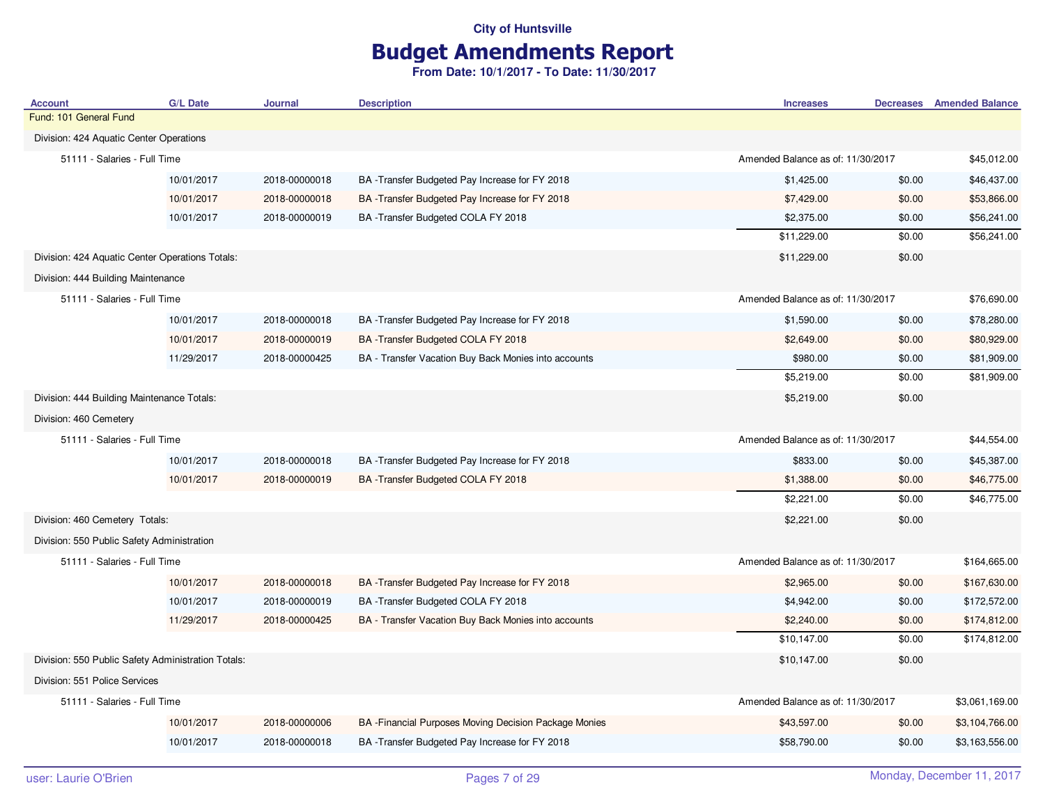## Budget Amendments Report

| <b>Account</b>                                     | <b>G/L Date</b> | Journal       | <b>Description</b>                                     | <b>Increases</b>                  |        | <b>Decreases</b> Amended Balance |
|----------------------------------------------------|-----------------|---------------|--------------------------------------------------------|-----------------------------------|--------|----------------------------------|
| Fund: 101 General Fund                             |                 |               |                                                        |                                   |        |                                  |
| Division: 424 Aquatic Center Operations            |                 |               |                                                        |                                   |        |                                  |
| 51111 - Salaries - Full Time                       |                 |               |                                                        | Amended Balance as of: 11/30/2017 |        | \$45,012.00                      |
|                                                    | 10/01/2017      | 2018-00000018 | BA-Transfer Budgeted Pay Increase for FY 2018          | \$1,425.00                        | \$0.00 | \$46,437.00                      |
|                                                    | 10/01/2017      | 2018-00000018 | BA -Transfer Budgeted Pay Increase for FY 2018         | \$7,429.00                        | \$0.00 | \$53,866.00                      |
|                                                    | 10/01/2017      | 2018-00000019 | BA -Transfer Budgeted COLA FY 2018                     | \$2,375.00                        | \$0.00 | \$56,241.00                      |
|                                                    |                 |               |                                                        | \$11,229.00                       | \$0.00 | \$56,241.00                      |
| Division: 424 Aquatic Center Operations Totals:    |                 |               |                                                        | \$11,229.00                       | \$0.00 |                                  |
| Division: 444 Building Maintenance                 |                 |               |                                                        |                                   |        |                                  |
| 51111 - Salaries - Full Time                       |                 |               |                                                        | Amended Balance as of: 11/30/2017 |        | \$76,690.00                      |
|                                                    | 10/01/2017      | 2018-00000018 | BA -Transfer Budgeted Pay Increase for FY 2018         | \$1,590.00                        | \$0.00 | \$78,280.00                      |
|                                                    | 10/01/2017      | 2018-00000019 | BA-Transfer Budgeted COLA FY 2018                      | \$2,649.00                        | \$0.00 | \$80,929.00                      |
|                                                    | 11/29/2017      | 2018-00000425 | BA - Transfer Vacation Buy Back Monies into accounts   | \$980.00                          | \$0.00 | \$81,909.00                      |
|                                                    |                 |               |                                                        | \$5,219.00                        | \$0.00 | \$81,909.00                      |
| Division: 444 Building Maintenance Totals:         |                 |               |                                                        | \$5,219.00                        | \$0.00 |                                  |
| Division: 460 Cemetery                             |                 |               |                                                        |                                   |        |                                  |
| 51111 - Salaries - Full Time                       |                 |               |                                                        | Amended Balance as of: 11/30/2017 |        | \$44,554.00                      |
|                                                    | 10/01/2017      | 2018-00000018 | BA -Transfer Budgeted Pay Increase for FY 2018         | \$833.00                          | \$0.00 | \$45,387.00                      |
|                                                    | 10/01/2017      | 2018-00000019 | BA -Transfer Budgeted COLA FY 2018                     | \$1,388.00                        | \$0.00 | \$46,775.00                      |
|                                                    |                 |               |                                                        | \$2,221.00                        | \$0.00 | \$46,775.00                      |
| Division: 460 Cemetery Totals:                     |                 |               |                                                        | \$2,221.00                        | \$0.00 |                                  |
| Division: 550 Public Safety Administration         |                 |               |                                                        |                                   |        |                                  |
| 51111 - Salaries - Full Time                       |                 |               |                                                        | Amended Balance as of: 11/30/2017 |        | \$164,665.00                     |
|                                                    | 10/01/2017      | 2018-00000018 | BA -Transfer Budgeted Pay Increase for FY 2018         | \$2,965.00                        | \$0.00 | \$167,630.00                     |
|                                                    | 10/01/2017      | 2018-00000019 | BA-Transfer Budgeted COLA FY 2018                      | \$4,942.00                        | \$0.00 | \$172,572.00                     |
|                                                    | 11/29/2017      | 2018-00000425 | BA - Transfer Vacation Buy Back Monies into accounts   | \$2,240.00                        | \$0.00 | \$174,812.00                     |
|                                                    |                 |               |                                                        | \$10,147.00                       | \$0.00 | \$174,812.00                     |
| Division: 550 Public Safety Administration Totals: |                 |               |                                                        | \$10,147.00                       | \$0.00 |                                  |
| Division: 551 Police Services                      |                 |               |                                                        |                                   |        |                                  |
| 51111 - Salaries - Full Time                       |                 |               |                                                        | Amended Balance as of: 11/30/2017 |        | \$3,061,169.00                   |
|                                                    | 10/01/2017      | 2018-00000006 | BA - Financial Purposes Moving Decision Package Monies | \$43,597.00                       | \$0.00 | \$3,104,766.00                   |
|                                                    | 10/01/2017      | 2018-00000018 | BA -Transfer Budgeted Pay Increase for FY 2018         | \$58,790.00                       | \$0.00 | \$3,163,556.00                   |
|                                                    |                 |               |                                                        |                                   |        |                                  |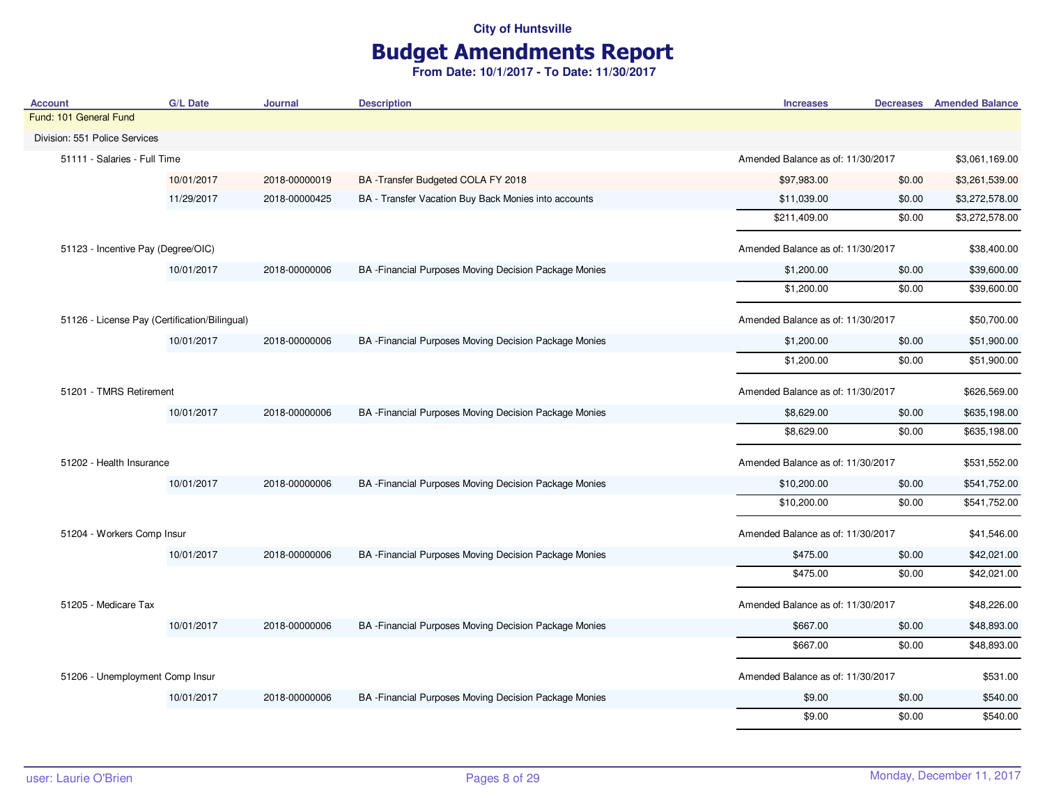# Budget Amendments Report

| <b>Account</b>                     | <b>G/L Date</b>                               | <b>Journal</b> | <b>Description</b>                                     | <b>Increases</b>                  |                                   | <b>Decreases</b> Amended Balance |
|------------------------------------|-----------------------------------------------|----------------|--------------------------------------------------------|-----------------------------------|-----------------------------------|----------------------------------|
| Fund: 101 General Fund             |                                               |                |                                                        |                                   |                                   |                                  |
| Division: 551 Police Services      |                                               |                |                                                        |                                   |                                   |                                  |
| 51111 - Salaries - Full Time       |                                               |                |                                                        |                                   | Amended Balance as of: 11/30/2017 |                                  |
|                                    | 10/01/2017                                    | 2018-00000019  | BA -Transfer Budgeted COLA FY 2018                     | \$97,983.00                       | \$0.00                            | \$3,261,539.00                   |
|                                    | 11/29/2017                                    | 2018-00000425  | BA - Transfer Vacation Buy Back Monies into accounts   | \$11,039.00                       | \$0.00                            | \$3,272,578.00                   |
|                                    |                                               |                |                                                        | \$211,409.00                      | \$0.00                            | \$3,272,578.00                   |
| 51123 - Incentive Pay (Degree/OIC) |                                               |                |                                                        | Amended Balance as of: 11/30/2017 |                                   | \$38,400.00                      |
|                                    | 10/01/2017                                    | 2018-00000006  | BA - Financial Purposes Moving Decision Package Monies | \$1,200.00                        | \$0.00                            | \$39,600.00                      |
|                                    |                                               |                |                                                        | \$1,200.00                        | \$0.00                            | \$39,600.00                      |
|                                    | 51126 - License Pay (Certification/Bilingual) |                |                                                        | Amended Balance as of: 11/30/2017 |                                   | \$50,700.00                      |
|                                    | 10/01/2017                                    | 2018-00000006  | BA - Financial Purposes Moving Decision Package Monies | \$1,200.00                        | \$0.00                            | \$51,900.00                      |
|                                    |                                               |                |                                                        | \$1,200.00                        | \$0.00                            | \$51,900.00                      |
| 51201 - TMRS Retirement            |                                               |                |                                                        | Amended Balance as of: 11/30/2017 |                                   | \$626,569.00                     |
|                                    | 10/01/2017                                    | 2018-00000006  | BA - Financial Purposes Moving Decision Package Monies | \$8,629.00                        | \$0.00                            | \$635,198.00                     |
|                                    |                                               |                |                                                        | \$8,629.00                        | \$0.00                            | \$635,198.00                     |
| 51202 - Health Insurance           |                                               |                |                                                        | Amended Balance as of: 11/30/2017 |                                   | \$531,552.00                     |
|                                    | 10/01/2017                                    | 2018-00000006  | BA - Financial Purposes Moving Decision Package Monies | \$10,200.00                       | \$0.00                            | \$541,752.00                     |
|                                    |                                               |                |                                                        | \$10,200.00                       | \$0.00                            | \$541,752.00                     |
| 51204 - Workers Comp Insur         |                                               |                |                                                        | Amended Balance as of: 11/30/2017 |                                   | \$41,546.00                      |
|                                    | 10/01/2017                                    | 2018-00000006  | BA - Financial Purposes Moving Decision Package Monies | \$475.00                          | \$0.00                            | \$42,021.00                      |
|                                    |                                               |                |                                                        | \$475.00                          | \$0.00                            | \$42,021.00                      |
| 51205 - Medicare Tax               |                                               |                |                                                        | Amended Balance as of: 11/30/2017 |                                   | \$48,226.00                      |
|                                    | 10/01/2017                                    | 2018-00000006  | BA - Financial Purposes Moving Decision Package Monies | \$667.00                          | \$0.00                            | \$48,893.00                      |
|                                    |                                               |                |                                                        | \$667.00                          | \$0.00                            | \$48,893.00                      |
| 51206 - Unemployment Comp Insur    |                                               |                |                                                        | Amended Balance as of: 11/30/2017 |                                   | \$531.00                         |
|                                    | 10/01/2017                                    | 2018-00000006  | BA - Financial Purposes Moving Decision Package Monies | \$9.00                            | \$0.00                            | \$540.00                         |
|                                    |                                               |                |                                                        | \$9.00                            | \$0.00                            | \$540.00                         |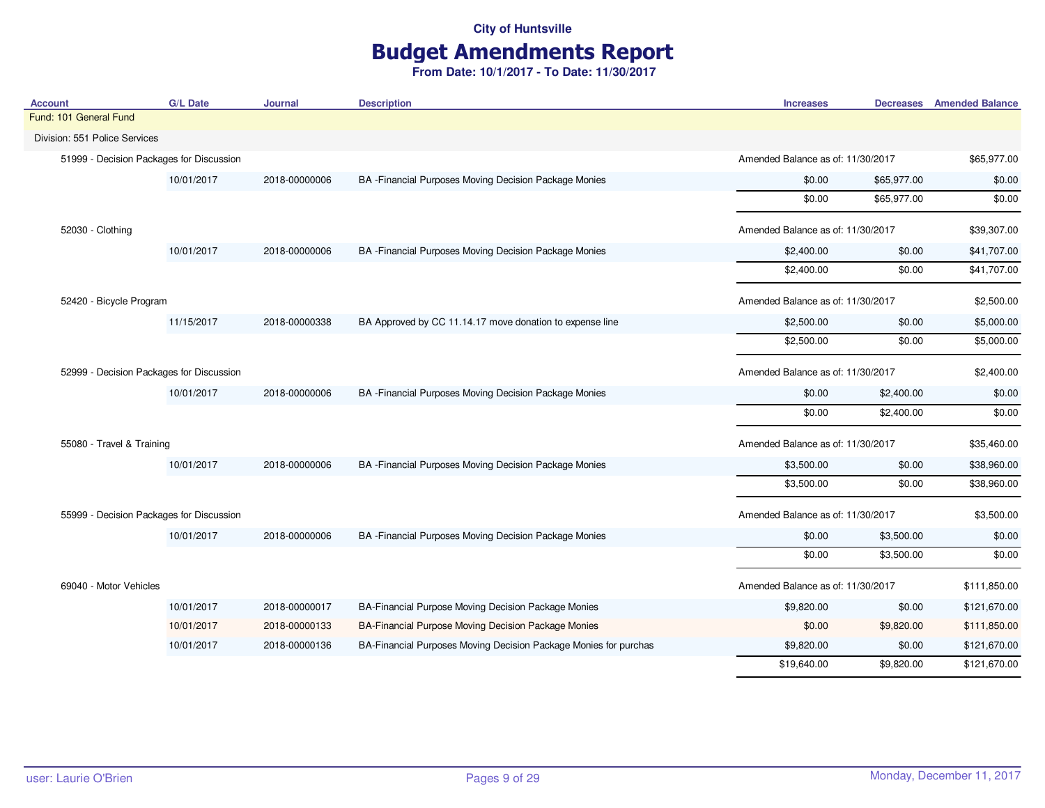## Budget Amendments Report

| <b>Account</b>                           | <b>G/L Date</b> | <b>Journal</b> | <b>Description</b>                                               | <b>Increases</b>                  | <b>Decreases</b>                  | <b>Amended Balance</b> |
|------------------------------------------|-----------------|----------------|------------------------------------------------------------------|-----------------------------------|-----------------------------------|------------------------|
| Fund: 101 General Fund                   |                 |                |                                                                  |                                   |                                   |                        |
| Division: 551 Police Services            |                 |                |                                                                  |                                   |                                   |                        |
| 51999 - Decision Packages for Discussion |                 |                |                                                                  |                                   | Amended Balance as of: 11/30/2017 |                        |
|                                          | 10/01/2017      | 2018-00000006  | BA - Financial Purposes Moving Decision Package Monies           | \$0.00                            | \$65,977.00                       | \$0.00                 |
|                                          |                 |                |                                                                  | \$0.00                            | \$65,977.00                       | \$0.00                 |
| 52030 - Clothing                         |                 |                |                                                                  | Amended Balance as of: 11/30/2017 |                                   | \$39,307.00            |
|                                          | 10/01/2017      | 2018-00000006  | BA - Financial Purposes Moving Decision Package Monies           | \$2,400.00                        | \$0.00                            | \$41,707.00            |
|                                          |                 |                |                                                                  | \$2,400.00                        | \$0.00                            | \$41,707.00            |
| 52420 - Bicycle Program                  |                 |                |                                                                  | Amended Balance as of: 11/30/2017 |                                   | \$2,500.00             |
|                                          | 11/15/2017      | 2018-00000338  | BA Approved by CC 11.14.17 move donation to expense line         | \$2,500.00                        | \$0.00                            | \$5,000.00             |
|                                          |                 |                |                                                                  | \$2,500.00                        | \$0.00                            | \$5,000.00             |
| 52999 - Decision Packages for Discussion |                 |                |                                                                  | Amended Balance as of: 11/30/2017 |                                   | \$2,400.00             |
|                                          | 10/01/2017      | 2018-00000006  | BA - Financial Purposes Moving Decision Package Monies           | \$0.00                            | \$2,400.00                        | \$0.00                 |
|                                          |                 |                |                                                                  | \$0.00                            | \$2,400.00                        | \$0.00                 |
| 55080 - Travel & Training                |                 |                |                                                                  | Amended Balance as of: 11/30/2017 |                                   | \$35,460.00            |
|                                          | 10/01/2017      | 2018-00000006  | BA - Financial Purposes Moving Decision Package Monies           | \$3,500.00                        | \$0.00                            | \$38,960.00            |
|                                          |                 |                |                                                                  | \$3,500.00                        | \$0.00                            | \$38,960.00            |
| 55999 - Decision Packages for Discussion |                 |                |                                                                  | Amended Balance as of: 11/30/2017 |                                   | \$3,500.00             |
|                                          | 10/01/2017      | 2018-00000006  | BA - Financial Purposes Moving Decision Package Monies           | \$0.00                            | \$3,500.00                        | \$0.00                 |
|                                          |                 |                |                                                                  | \$0.00                            | \$3,500.00                        | \$0.00                 |
| 69040 - Motor Vehicles                   |                 |                |                                                                  | Amended Balance as of: 11/30/2017 |                                   | \$111,850.00           |
|                                          | 10/01/2017      | 2018-00000017  | BA-Financial Purpose Moving Decision Package Monies              | \$9,820.00                        | \$0.00                            | \$121,670.00           |
|                                          | 10/01/2017      | 2018-00000133  | BA-Financial Purpose Moving Decision Package Monies              | \$0.00                            | \$9,820.00                        | \$111,850.00           |
|                                          | 10/01/2017      | 2018-00000136  | BA-Financial Purposes Moving Decision Package Monies for purchas | \$9,820.00                        | \$0.00                            | \$121,670.00           |
|                                          |                 |                |                                                                  | \$19,640.00                       | \$9,820.00                        | \$121,670.00           |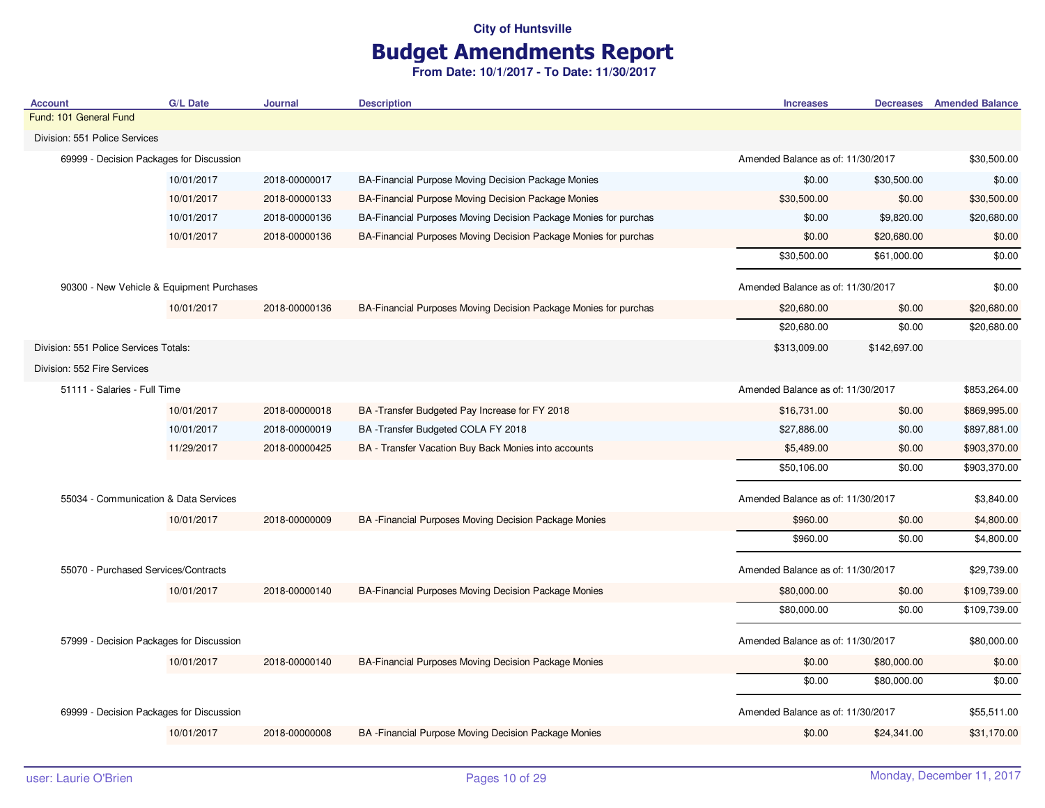## Budget Amendments Report

| <b>Account</b>                            | <b>G/L Date</b> | <b>Journal</b> | <b>Description</b>                                               | <b>Increases</b>                  |              | <b>Decreases</b> Amended Balance |
|-------------------------------------------|-----------------|----------------|------------------------------------------------------------------|-----------------------------------|--------------|----------------------------------|
| Fund: 101 General Fund                    |                 |                |                                                                  |                                   |              |                                  |
| Division: 551 Police Services             |                 |                |                                                                  |                                   |              |                                  |
| 69999 - Decision Packages for Discussion  |                 |                |                                                                  | Amended Balance as of: 11/30/2017 |              | \$30,500.00                      |
|                                           | 10/01/2017      | 2018-00000017  | BA-Financial Purpose Moving Decision Package Monies              | \$0.00                            | \$30,500.00  | \$0.00                           |
|                                           | 10/01/2017      | 2018-00000133  | BA-Financial Purpose Moving Decision Package Monies              | \$30,500.00                       | \$0.00       | \$30,500.00                      |
|                                           | 10/01/2017      | 2018-00000136  | BA-Financial Purposes Moving Decision Package Monies for purchas | \$0.00                            | \$9,820.00   | \$20,680.00                      |
|                                           | 10/01/2017      | 2018-00000136  | BA-Financial Purposes Moving Decision Package Monies for purchas | \$0.00                            | \$20,680.00  | \$0.00                           |
|                                           |                 |                |                                                                  | \$30,500.00                       | \$61,000.00  | \$0.00                           |
| 90300 - New Vehicle & Equipment Purchases |                 |                |                                                                  | Amended Balance as of: 11/30/2017 |              | \$0.00                           |
|                                           | 10/01/2017      | 2018-00000136  | BA-Financial Purposes Moving Decision Package Monies for purchas | \$20,680.00                       | \$0.00       | \$20,680.00                      |
|                                           |                 |                |                                                                  | \$20,680.00                       | \$0.00       | \$20,680.00                      |
| Division: 551 Police Services Totals:     |                 |                |                                                                  | \$313,009.00                      | \$142,697.00 |                                  |
| Division: 552 Fire Services               |                 |                |                                                                  |                                   |              |                                  |
| 51111 - Salaries - Full Time              |                 |                |                                                                  | Amended Balance as of: 11/30/2017 |              | \$853,264.00                     |
|                                           | 10/01/2017      | 2018-00000018  | BA -Transfer Budgeted Pay Increase for FY 2018                   | \$16,731.00                       | \$0.00       | \$869,995.00                     |
|                                           | 10/01/2017      | 2018-00000019  | BA -Transfer Budgeted COLA FY 2018                               | \$27,886.00                       | \$0.00       | \$897,881.00                     |
|                                           | 11/29/2017      | 2018-00000425  | BA - Transfer Vacation Buy Back Monies into accounts             | \$5,489.00                        | \$0.00       | \$903,370.00                     |
|                                           |                 |                |                                                                  | \$50,106.00                       | \$0.00       | \$903,370.00                     |
| 55034 - Communication & Data Services     |                 |                |                                                                  | Amended Balance as of: 11/30/2017 |              | \$3,840.00                       |
|                                           | 10/01/2017      | 2018-00000009  | BA - Financial Purposes Moving Decision Package Monies           | \$960.00                          | \$0.00       | \$4,800.00                       |
|                                           |                 |                |                                                                  | \$960.00                          | \$0.00       | \$4,800.00                       |
| 55070 - Purchased Services/Contracts      |                 |                |                                                                  | Amended Balance as of: 11/30/2017 |              | \$29,739.00                      |
|                                           | 10/01/2017      | 2018-00000140  | BA-Financial Purposes Moving Decision Package Monies             | \$80,000.00                       | \$0.00       | \$109,739.00                     |
|                                           |                 |                |                                                                  | \$80,000.00                       | \$0.00       | \$109,739.00                     |
| 57999 - Decision Packages for Discussion  |                 |                |                                                                  | Amended Balance as of: 11/30/2017 |              | \$80,000.00                      |
|                                           | 10/01/2017      | 2018-00000140  | BA-Financial Purposes Moving Decision Package Monies             | \$0.00                            | \$80,000.00  | \$0.00                           |
|                                           |                 |                |                                                                  | \$0.00                            | \$80,000.00  | \$0.00                           |
| 69999 - Decision Packages for Discussion  |                 |                |                                                                  | Amended Balance as of: 11/30/2017 |              | \$55,511.00                      |
|                                           | 10/01/2017      | 2018-00000008  | BA - Financial Purpose Moving Decision Package Monies            | \$0.00                            | \$24,341.00  | \$31,170.00                      |
|                                           |                 |                |                                                                  |                                   |              |                                  |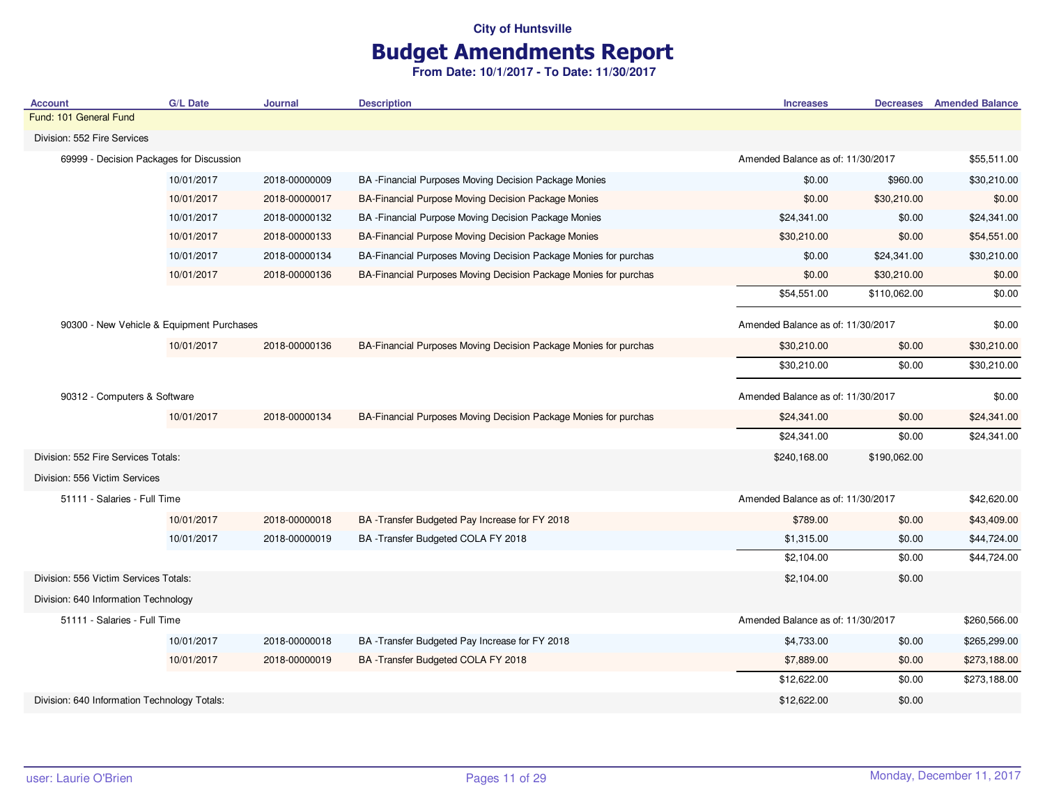## Budget Amendments Report

| <b>Account</b>                               | <b>G/L Date</b> | Journal       | <b>Description</b>                                               | <b>Increases</b>                  |              | <b>Decreases</b> Amended Balance |
|----------------------------------------------|-----------------|---------------|------------------------------------------------------------------|-----------------------------------|--------------|----------------------------------|
| Fund: 101 General Fund                       |                 |               |                                                                  |                                   |              |                                  |
| Division: 552 Fire Services                  |                 |               |                                                                  |                                   |              |                                  |
| 69999 - Decision Packages for Discussion     |                 |               |                                                                  | Amended Balance as of: 11/30/2017 |              | \$55,511.00                      |
|                                              | 10/01/2017      | 2018-00000009 | BA - Financial Purposes Moving Decision Package Monies           | \$0.00                            | \$960.00     | \$30,210.00                      |
|                                              | 10/01/2017      | 2018-00000017 | BA-Financial Purpose Moving Decision Package Monies              | \$0.00                            | \$30,210.00  | \$0.00                           |
|                                              | 10/01/2017      | 2018-00000132 | BA - Financial Purpose Moving Decision Package Monies            | \$24,341.00                       | \$0.00       | \$24,341.00                      |
|                                              | 10/01/2017      | 2018-00000133 | BA-Financial Purpose Moving Decision Package Monies              | \$30,210.00                       | \$0.00       | \$54,551.00                      |
|                                              | 10/01/2017      | 2018-00000134 | BA-Financial Purposes Moving Decision Package Monies for purchas | \$0.00                            | \$24,341.00  | \$30,210.00                      |
|                                              | 10/01/2017      | 2018-00000136 | BA-Financial Purposes Moving Decision Package Monies for purchas | \$0.00                            | \$30,210.00  | \$0.00                           |
|                                              |                 |               |                                                                  | \$54,551.00                       | \$110,062.00 | \$0.00                           |
| 90300 - New Vehicle & Equipment Purchases    |                 |               | Amended Balance as of: 11/30/2017                                |                                   | \$0.00       |                                  |
|                                              | 10/01/2017      | 2018-00000136 | BA-Financial Purposes Moving Decision Package Monies for purchas | \$30,210.00                       | \$0.00       | \$30,210.00                      |
|                                              |                 |               |                                                                  | \$30,210.00                       | \$0.00       | \$30,210.00                      |
| 90312 - Computers & Software                 |                 |               |                                                                  | Amended Balance as of: 11/30/2017 |              | \$0.00                           |
|                                              | 10/01/2017      | 2018-00000134 | BA-Financial Purposes Moving Decision Package Monies for purchas | \$24,341.00                       | \$0.00       | \$24,341.00                      |
|                                              |                 |               |                                                                  | \$24,341.00                       | \$0.00       | \$24,341.00                      |
| Division: 552 Fire Services Totals:          |                 |               |                                                                  | \$240,168.00                      | \$190,062.00 |                                  |
| Division: 556 Victim Services                |                 |               |                                                                  |                                   |              |                                  |
| 51111 - Salaries - Full Time                 |                 |               |                                                                  | Amended Balance as of: 11/30/2017 |              | \$42,620.00                      |
|                                              | 10/01/2017      | 2018-00000018 | BA -Transfer Budgeted Pay Increase for FY 2018                   | \$789.00                          | \$0.00       | \$43,409.00                      |
|                                              | 10/01/2017      | 2018-00000019 | BA-Transfer Budgeted COLA FY 2018                                | \$1,315.00                        | \$0.00       | \$44,724.00                      |
|                                              |                 |               |                                                                  | \$2,104.00                        | \$0.00       | \$44,724.00                      |
| Division: 556 Victim Services Totals:        |                 |               |                                                                  | \$2,104.00                        | \$0.00       |                                  |
| Division: 640 Information Technology         |                 |               |                                                                  |                                   |              |                                  |
| 51111 - Salaries - Full Time                 |                 |               |                                                                  | Amended Balance as of: 11/30/2017 |              | \$260,566.00                     |
|                                              | 10/01/2017      | 2018-00000018 | BA -Transfer Budgeted Pay Increase for FY 2018                   | \$4,733.00                        | \$0.00       | \$265,299.00                     |
|                                              | 10/01/2017      | 2018-00000019 | BA -Transfer Budgeted COLA FY 2018                               | \$7,889.00                        | \$0.00       | \$273,188.00                     |
|                                              |                 |               |                                                                  | \$12,622.00                       | \$0.00       | \$273,188.00                     |
| Division: 640 Information Technology Totals: |                 |               |                                                                  | \$12,622.00                       | \$0.00       |                                  |
|                                              |                 |               |                                                                  |                                   |              |                                  |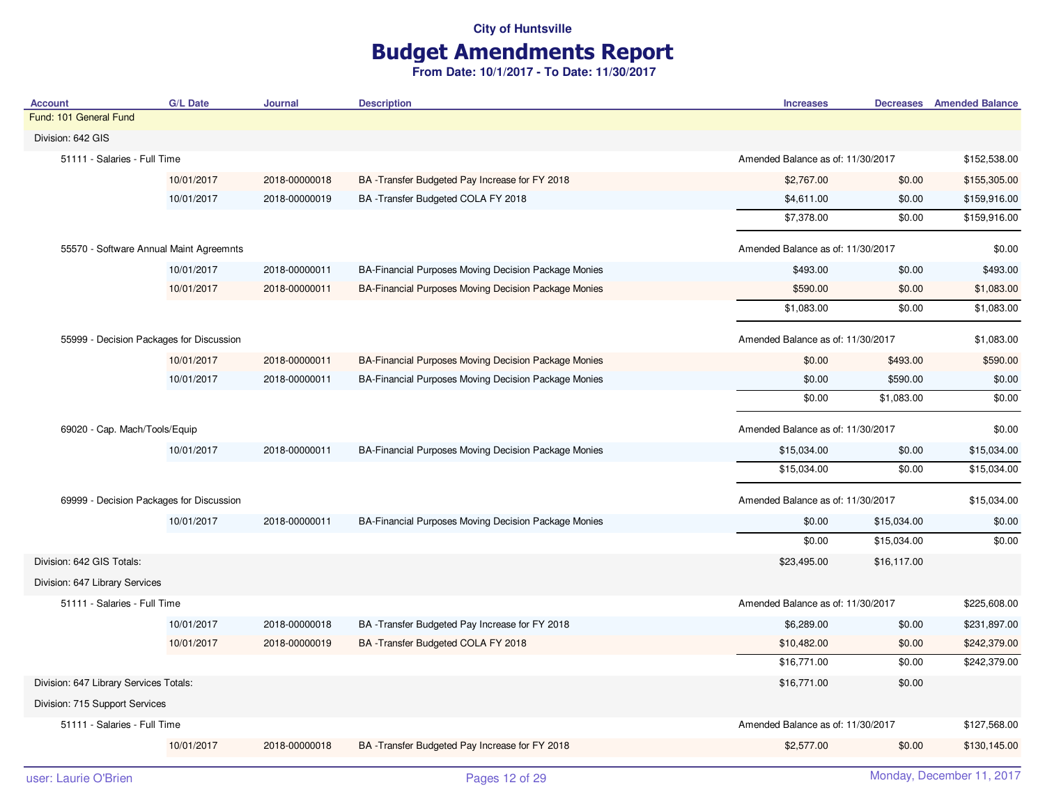## Budget Amendments Report

| <b>Account</b>                           | <b>G/L Date</b>               | <b>Journal</b> | <b>Description</b>                                   | <b>Increases</b>                  |                                   | <b>Decreases</b> Amended Balance |
|------------------------------------------|-------------------------------|----------------|------------------------------------------------------|-----------------------------------|-----------------------------------|----------------------------------|
| Fund: 101 General Fund                   |                               |                |                                                      |                                   |                                   |                                  |
| Division: 642 GIS                        |                               |                |                                                      |                                   |                                   |                                  |
| 51111 - Salaries - Full Time             |                               |                |                                                      | Amended Balance as of: 11/30/2017 |                                   | \$152,538.00                     |
|                                          | 10/01/2017                    | 2018-00000018  | BA -Transfer Budgeted Pay Increase for FY 2018       | \$2,767.00                        | \$0.00                            | \$155,305.00                     |
|                                          | 10/01/2017                    | 2018-00000019  | BA -Transfer Budgeted COLA FY 2018                   | \$4,611.00                        | \$0.00                            | \$159,916.00                     |
|                                          |                               |                |                                                      | \$7,378.00                        | \$0.00                            | \$159,916.00                     |
| 55570 - Software Annual Maint Agreemnts  |                               |                |                                                      | Amended Balance as of: 11/30/2017 |                                   | \$0.00                           |
|                                          | 10/01/2017                    | 2018-00000011  | BA-Financial Purposes Moving Decision Package Monies | \$493.00                          | \$0.00                            | \$493.00                         |
|                                          | 10/01/2017                    | 2018-00000011  | BA-Financial Purposes Moving Decision Package Monies | \$590.00                          | \$0.00                            | \$1,083.00                       |
|                                          |                               |                |                                                      | \$1,083.00                        | \$0.00                            | \$1,083.00                       |
| 55999 - Decision Packages for Discussion |                               |                |                                                      | Amended Balance as of: 11/30/2017 |                                   | \$1,083.00                       |
|                                          | 10/01/2017                    | 2018-00000011  | BA-Financial Purposes Moving Decision Package Monies | \$0.00                            | \$493.00                          | \$590.00                         |
|                                          | 10/01/2017                    | 2018-00000011  | BA-Financial Purposes Moving Decision Package Monies | \$0.00                            | \$590.00                          | \$0.00                           |
|                                          |                               |                |                                                      | \$0.00                            | \$1,083.00                        | \$0.00                           |
|                                          | 69020 - Cap. Mach/Tools/Equip |                |                                                      |                                   | Amended Balance as of: 11/30/2017 | \$0.00                           |
|                                          | 10/01/2017                    | 2018-00000011  | BA-Financial Purposes Moving Decision Package Monies | \$15,034.00                       | \$0.00                            | \$15,034.00                      |
|                                          |                               |                |                                                      | \$15,034.00                       | \$0.00                            | \$15,034.00                      |
| 69999 - Decision Packages for Discussion |                               |                |                                                      | Amended Balance as of: 11/30/2017 |                                   | \$15,034.00                      |
|                                          | 10/01/2017                    | 2018-00000011  | BA-Financial Purposes Moving Decision Package Monies | \$0.00                            | \$15,034.00                       | \$0.00                           |
|                                          |                               |                |                                                      | \$0.00                            | \$15,034.00                       | \$0.00                           |
| Division: 642 GIS Totals:                |                               |                |                                                      | \$23,495.00                       | \$16,117.00                       |                                  |
| Division: 647 Library Services           |                               |                |                                                      |                                   |                                   |                                  |
| 51111 - Salaries - Full Time             |                               |                |                                                      | Amended Balance as of: 11/30/2017 |                                   | \$225,608.00                     |
|                                          | 10/01/2017                    | 2018-00000018  | BA -Transfer Budgeted Pay Increase for FY 2018       | \$6,289.00                        | \$0.00                            | \$231,897.00                     |
|                                          | 10/01/2017                    | 2018-00000019  | BA-Transfer Budgeted COLA FY 2018                    | \$10,482.00                       | \$0.00                            | \$242,379.00                     |
|                                          |                               |                |                                                      | \$16,771.00                       | \$0.00                            | \$242,379.00                     |
| Division: 647 Library Services Totals:   |                               |                |                                                      | \$16,771.00                       | \$0.00                            |                                  |
| Division: 715 Support Services           |                               |                |                                                      |                                   |                                   |                                  |
| 51111 - Salaries - Full Time             |                               |                |                                                      | Amended Balance as of: 11/30/2017 |                                   | \$127,568.00                     |
|                                          | 10/01/2017                    | 2018-00000018  | BA -Transfer Budgeted Pay Increase for FY 2018       | \$2,577.00                        | \$0.00                            | \$130,145.00                     |
|                                          |                               |                |                                                      |                                   |                                   |                                  |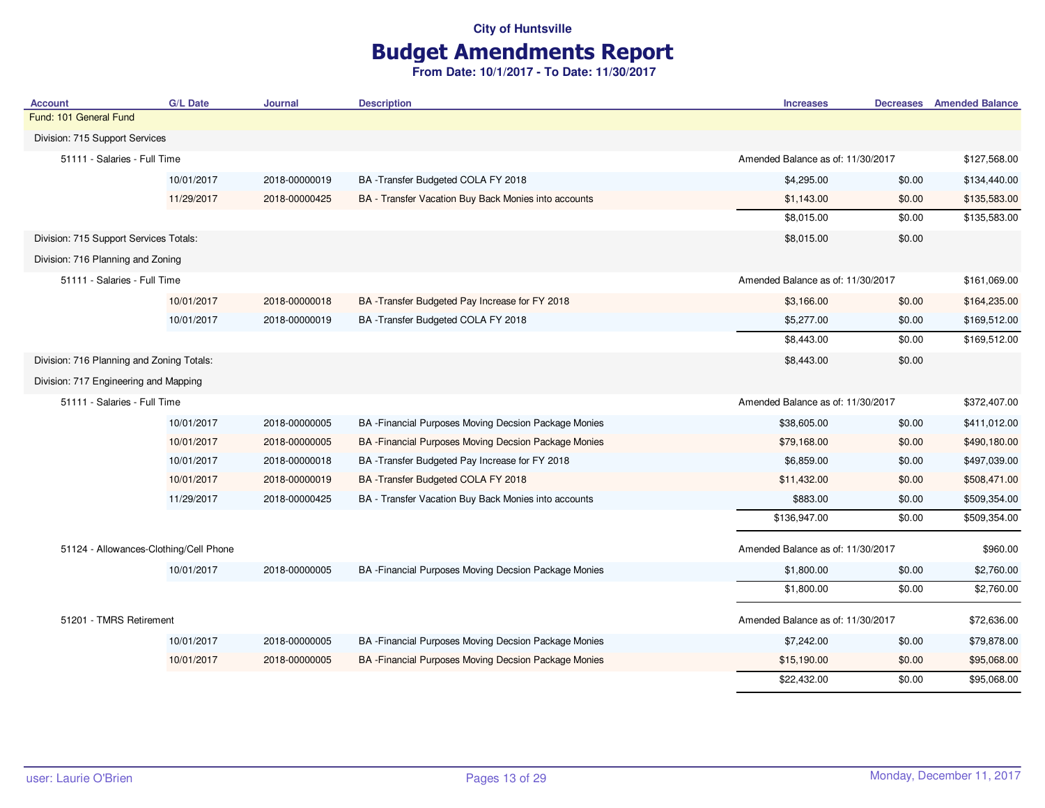# Budget Amendments Report

| <b>Account</b>                            | <b>G/L Date</b> | Journal       | <b>Description</b>                                    | <b>Increases</b>                  | <b>Decreases</b> Amended Balance |              |
|-------------------------------------------|-----------------|---------------|-------------------------------------------------------|-----------------------------------|----------------------------------|--------------|
| Fund: 101 General Fund                    |                 |               |                                                       |                                   |                                  |              |
| Division: 715 Support Services            |                 |               |                                                       |                                   |                                  |              |
| 51111 - Salaries - Full Time              |                 |               |                                                       | Amended Balance as of: 11/30/2017 |                                  | \$127,568.00 |
|                                           | 10/01/2017      | 2018-00000019 | BA-Transfer Budgeted COLA FY 2018                     | \$4,295.00                        | \$0.00                           | \$134,440.00 |
|                                           | 11/29/2017      | 2018-00000425 | BA - Transfer Vacation Buy Back Monies into accounts  | \$1,143.00                        | \$0.00                           | \$135,583.00 |
|                                           |                 |               |                                                       | \$8,015.00                        | \$0.00                           | \$135,583.00 |
| Division: 715 Support Services Totals:    |                 |               |                                                       | \$8,015.00                        | \$0.00                           |              |
| Division: 716 Planning and Zoning         |                 |               |                                                       |                                   |                                  |              |
| 51111 - Salaries - Full Time              |                 |               |                                                       | Amended Balance as of: 11/30/2017 |                                  | \$161,069.00 |
|                                           | 10/01/2017      | 2018-00000018 | BA -Transfer Budgeted Pay Increase for FY 2018        | \$3,166.00                        | \$0.00                           | \$164,235.00 |
|                                           | 10/01/2017      | 2018-00000019 | BA-Transfer Budgeted COLA FY 2018                     | \$5,277.00                        | \$0.00                           | \$169,512.00 |
|                                           |                 |               |                                                       | \$8,443.00                        | \$0.00                           | \$169,512.00 |
| Division: 716 Planning and Zoning Totals: |                 |               |                                                       | \$8,443.00                        | \$0.00                           |              |
| Division: 717 Engineering and Mapping     |                 |               |                                                       |                                   |                                  |              |
| 51111 - Salaries - Full Time              |                 |               |                                                       | Amended Balance as of: 11/30/2017 |                                  | \$372,407.00 |
|                                           | 10/01/2017      | 2018-00000005 | BA - Financial Purposes Moving Decsion Package Monies | \$38,605.00                       | \$0.00                           | \$411,012.00 |
|                                           | 10/01/2017      | 2018-00000005 | BA - Financial Purposes Moving Decsion Package Monies | \$79,168.00                       | \$0.00                           | \$490,180.00 |
|                                           | 10/01/2017      | 2018-00000018 | BA -Transfer Budgeted Pay Increase for FY 2018        | \$6,859.00                        | \$0.00                           | \$497,039.00 |
|                                           | 10/01/2017      | 2018-00000019 | BA-Transfer Budgeted COLA FY 2018                     | \$11,432.00                       | \$0.00                           | \$508,471.00 |
|                                           | 11/29/2017      | 2018-00000425 | BA - Transfer Vacation Buy Back Monies into accounts  | \$883.00                          | \$0.00                           | \$509,354.00 |
|                                           |                 |               |                                                       | \$136,947.00                      | \$0.00                           | \$509,354.00 |
| 51124 - Allowances-Clothing/Cell Phone    |                 |               |                                                       | Amended Balance as of: 11/30/2017 |                                  | \$960.00     |
|                                           | 10/01/2017      | 2018-00000005 | BA - Financial Purposes Moving Decsion Package Monies | \$1,800.00                        | \$0.00                           | \$2,760.00   |
|                                           |                 |               |                                                       | \$1,800.00                        | \$0.00                           | \$2,760.00   |
| 51201 - TMRS Retirement                   |                 |               |                                                       | Amended Balance as of: 11/30/2017 |                                  | \$72,636.00  |
|                                           | 10/01/2017      | 2018-00000005 | BA - Financial Purposes Moving Decsion Package Monies | \$7,242.00                        | \$0.00                           | \$79,878.00  |
|                                           | 10/01/2017      | 2018-00000005 | BA - Financial Purposes Moving Decsion Package Monies | \$15,190.00                       | \$0.00                           | \$95,068.00  |
|                                           |                 |               |                                                       | \$22,432.00                       | \$0.00                           | \$95,068.00  |
|                                           |                 |               |                                                       |                                   |                                  |              |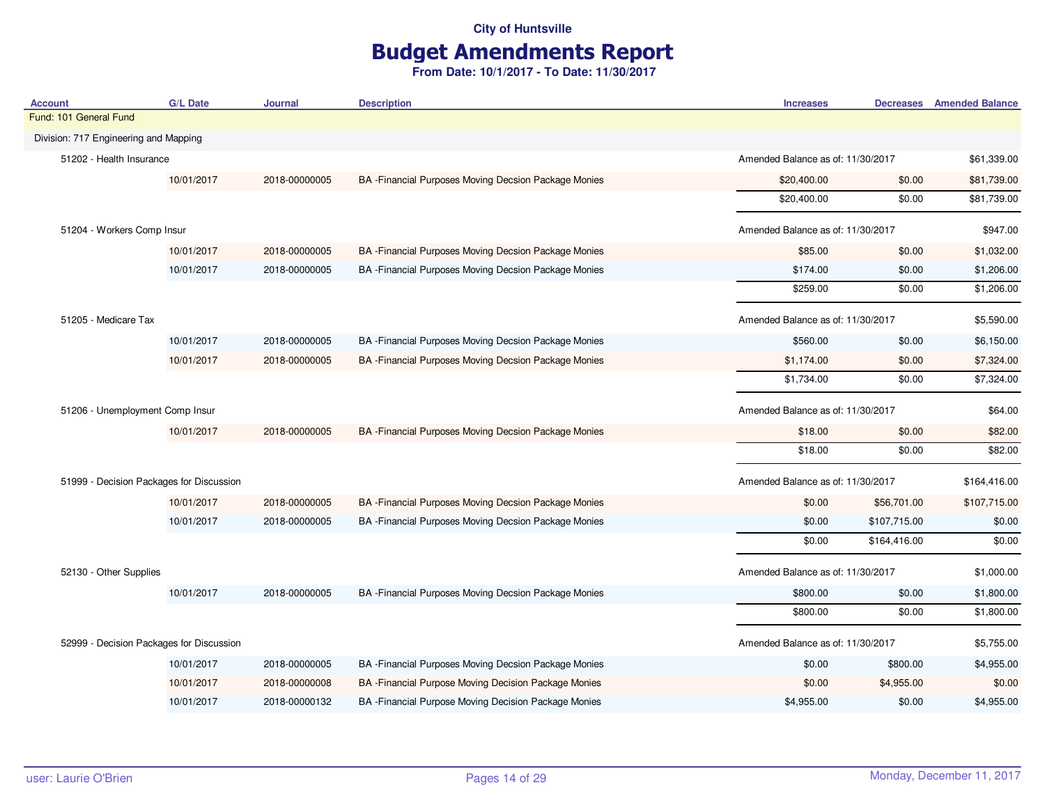# Budget Amendments Report

| <b>Account</b>                        | <b>G/L Date</b>                          | <b>Journal</b> | <b>Description</b>                                    | <b>Increases</b>                  |              | <b>Decreases</b> Amended Balance |
|---------------------------------------|------------------------------------------|----------------|-------------------------------------------------------|-----------------------------------|--------------|----------------------------------|
| Fund: 101 General Fund                |                                          |                |                                                       |                                   |              |                                  |
| Division: 717 Engineering and Mapping |                                          |                |                                                       |                                   |              |                                  |
| 51202 - Health Insurance              |                                          |                |                                                       | Amended Balance as of: 11/30/2017 |              | \$61,339.00                      |
|                                       | 10/01/2017                               | 2018-00000005  | BA - Financial Purposes Moving Decsion Package Monies | \$20,400.00                       | \$0.00       | \$81,739.00                      |
|                                       |                                          |                |                                                       | \$20,400.00                       | \$0.00       | \$81,739.00                      |
| 51204 - Workers Comp Insur            |                                          |                |                                                       | Amended Balance as of: 11/30/2017 |              | \$947.00                         |
|                                       | 10/01/2017                               | 2018-00000005  | BA - Financial Purposes Moving Decsion Package Monies | \$85.00                           | \$0.00       | \$1,032.00                       |
|                                       | 10/01/2017                               | 2018-00000005  | BA - Financial Purposes Moving Decsion Package Monies | \$174.00                          | \$0.00       | \$1,206.00                       |
|                                       |                                          |                |                                                       | \$259.00                          | \$0.00       | \$1,206.00                       |
| 51205 - Medicare Tax                  |                                          |                |                                                       | Amended Balance as of: 11/30/2017 |              | \$5,590.00                       |
|                                       | 10/01/2017                               | 2018-00000005  | BA - Financial Purposes Moving Decsion Package Monies | \$560.00                          | \$0.00       | \$6,150.00                       |
|                                       | 10/01/2017                               | 2018-00000005  | BA - Financial Purposes Moving Decsion Package Monies | \$1,174.00                        | \$0.00       | \$7,324.00                       |
|                                       |                                          |                |                                                       | \$1,734.00                        | \$0.00       | \$7,324.00                       |
| 51206 - Unemployment Comp Insur       |                                          |                |                                                       | Amended Balance as of: 11/30/2017 |              | \$64.00                          |
|                                       | 10/01/2017                               | 2018-00000005  | BA - Financial Purposes Moving Decsion Package Monies | \$18.00                           | \$0.00       | \$82.00                          |
|                                       |                                          |                |                                                       | \$18.00                           | \$0.00       | \$82.00                          |
|                                       | 51999 - Decision Packages for Discussion |                |                                                       | Amended Balance as of: 11/30/2017 |              | \$164,416.00                     |
|                                       | 10/01/2017                               | 2018-00000005  | BA - Financial Purposes Moving Decsion Package Monies | \$0.00                            | \$56,701.00  | \$107,715.00                     |
|                                       | 10/01/2017                               | 2018-00000005  | BA - Financial Purposes Moving Decsion Package Monies | \$0.00                            | \$107,715.00 | \$0.00                           |
|                                       |                                          |                |                                                       | \$0.00                            | \$164,416.00 | \$0.00                           |
| 52130 - Other Supplies                |                                          |                |                                                       | Amended Balance as of: 11/30/2017 |              | \$1,000.00                       |
|                                       | 10/01/2017                               | 2018-00000005  | BA - Financial Purposes Moving Decsion Package Monies | \$800.00                          | \$0.00       | \$1,800.00                       |
|                                       |                                          |                |                                                       | \$800.00                          | \$0.00       | \$1,800.00                       |
|                                       | 52999 - Decision Packages for Discussion |                |                                                       | Amended Balance as of: 11/30/2017 |              | \$5,755.00                       |
|                                       | 10/01/2017                               | 2018-00000005  | BA - Financial Purposes Moving Decsion Package Monies | \$0.00                            | \$800.00     | \$4,955.00                       |
|                                       | 10/01/2017                               | 2018-00000008  | BA - Financial Purpose Moving Decision Package Monies | \$0.00                            | \$4,955.00   | \$0.00                           |
|                                       | 10/01/2017                               | 2018-00000132  | BA - Financial Purpose Moving Decision Package Monies | \$4,955.00                        | \$0.00       | \$4,955.00                       |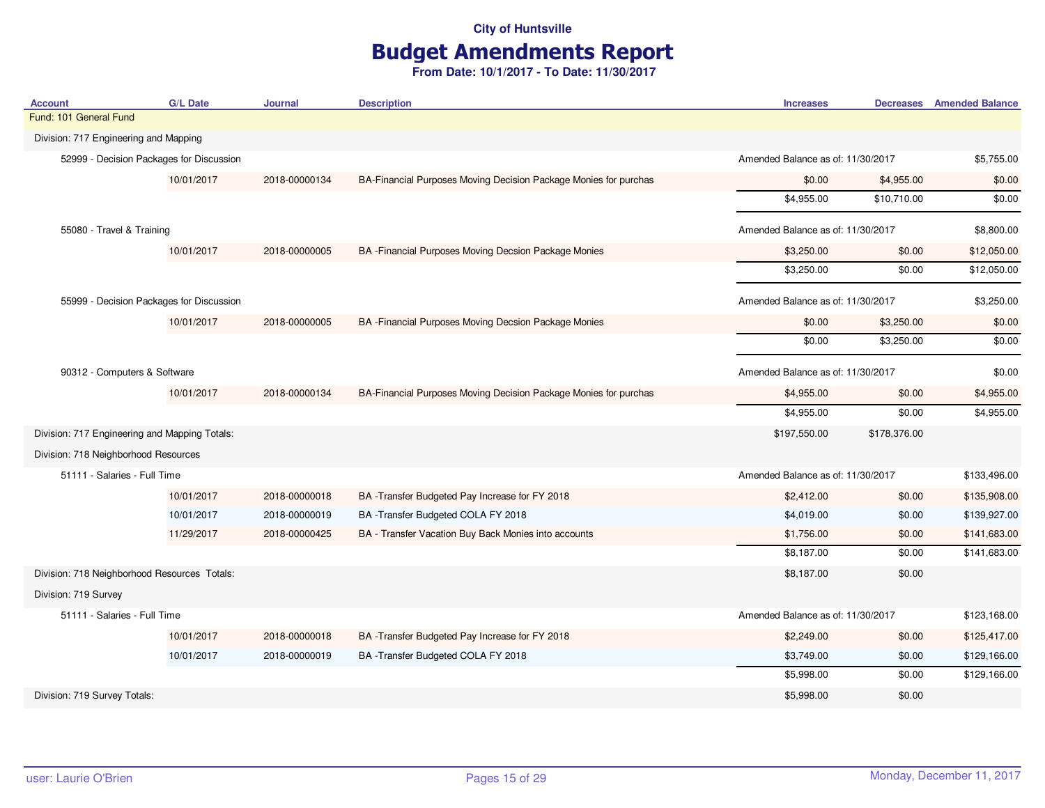## Budget Amendments Report

| <b>Account</b>                                | <b>G/L Date</b> | Journal       | <b>Description</b>                                               | <b>Increases</b>                  |              | <b>Decreases</b> Amended Balance |
|-----------------------------------------------|-----------------|---------------|------------------------------------------------------------------|-----------------------------------|--------------|----------------------------------|
| Fund: 101 General Fund                        |                 |               |                                                                  |                                   |              |                                  |
| Division: 717 Engineering and Mapping         |                 |               |                                                                  |                                   |              |                                  |
| 52999 - Decision Packages for Discussion      |                 |               |                                                                  | Amended Balance as of: 11/30/2017 |              | \$5,755.00                       |
|                                               | 10/01/2017      | 2018-00000134 | BA-Financial Purposes Moving Decision Package Monies for purchas | \$0.00                            | \$4,955.00   | \$0.00                           |
|                                               |                 |               |                                                                  | \$4,955.00                        | \$10,710.00  | \$0.00                           |
| 55080 - Travel & Training                     |                 |               |                                                                  | Amended Balance as of: 11/30/2017 |              | \$8,800.00                       |
|                                               | 10/01/2017      | 2018-00000005 | BA - Financial Purposes Moving Decsion Package Monies            | \$3,250.00                        | \$0.00       | \$12,050.00                      |
|                                               |                 |               |                                                                  | \$3,250.00                        | \$0.00       | \$12,050.00                      |
| 55999 - Decision Packages for Discussion      |                 |               |                                                                  | Amended Balance as of: 11/30/2017 |              | \$3,250.00                       |
|                                               | 10/01/2017      | 2018-00000005 | BA - Financial Purposes Moving Decsion Package Monies            | \$0.00                            | \$3,250.00   | \$0.00                           |
|                                               |                 |               |                                                                  | \$0.00                            | \$3,250.00   | \$0.00                           |
| 90312 - Computers & Software                  |                 |               |                                                                  | Amended Balance as of: 11/30/2017 |              | \$0.00                           |
|                                               | 10/01/2017      | 2018-00000134 | BA-Financial Purposes Moving Decision Package Monies for purchas | \$4,955.00                        | \$0.00       | \$4,955.00                       |
|                                               |                 |               |                                                                  | \$4,955.00                        | \$0.00       | \$4,955.00                       |
| Division: 717 Engineering and Mapping Totals: |                 |               |                                                                  | \$197,550.00                      | \$178,376.00 |                                  |
| Division: 718 Neighborhood Resources          |                 |               |                                                                  |                                   |              |                                  |
| 51111 - Salaries - Full Time                  |                 |               |                                                                  | Amended Balance as of: 11/30/2017 |              | \$133,496.00                     |
|                                               | 10/01/2017      | 2018-00000018 | BA -Transfer Budgeted Pay Increase for FY 2018                   | \$2,412.00                        | \$0.00       | \$135,908.00                     |
|                                               | 10/01/2017      | 2018-00000019 | BA-Transfer Budgeted COLA FY 2018                                | \$4,019.00                        | \$0.00       | \$139,927.00                     |
|                                               | 11/29/2017      | 2018-00000425 | BA - Transfer Vacation Buy Back Monies into accounts             | \$1,756.00                        | \$0.00       | \$141,683.00                     |
|                                               |                 |               |                                                                  | \$8,187.00                        | \$0.00       | \$141,683.00                     |
| Division: 718 Neighborhood Resources Totals:  |                 |               |                                                                  | \$8,187.00                        | \$0.00       |                                  |
| Division: 719 Survey                          |                 |               |                                                                  |                                   |              |                                  |
| 51111 - Salaries - Full Time                  |                 |               |                                                                  | Amended Balance as of: 11/30/2017 |              | \$123,168.00                     |
|                                               | 10/01/2017      | 2018-00000018 | BA -Transfer Budgeted Pay Increase for FY 2018                   | \$2,249.00                        | \$0.00       | \$125,417.00                     |
|                                               | 10/01/2017      | 2018-00000019 | BA -Transfer Budgeted COLA FY 2018                               | \$3,749.00                        | \$0.00       | \$129,166.00                     |
|                                               |                 |               |                                                                  | \$5,998.00                        | \$0.00       | \$129,166.00                     |
| Division: 719 Survey Totals:                  |                 |               |                                                                  | \$5,998.00                        | \$0.00       |                                  |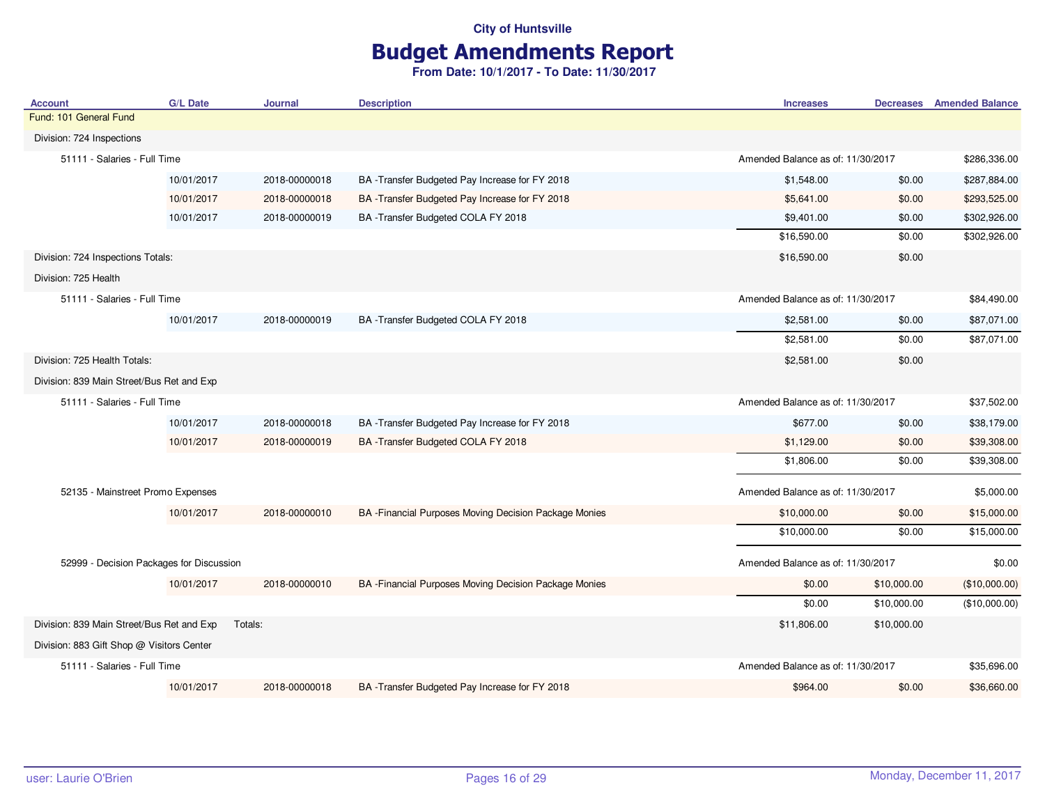## Budget Amendments Report

| <b>Account</b>                            | <b>G/L Date</b> | <b>Journal</b> | <b>Description</b>                                     | <b>Increases</b>                  | <b>Decreases</b> Amended Balance |
|-------------------------------------------|-----------------|----------------|--------------------------------------------------------|-----------------------------------|----------------------------------|
| Fund: 101 General Fund                    |                 |                |                                                        |                                   |                                  |
| Division: 724 Inspections                 |                 |                |                                                        |                                   |                                  |
| 51111 - Salaries - Full Time              |                 |                |                                                        | Amended Balance as of: 11/30/2017 | \$286,336.00                     |
|                                           | 10/01/2017      | 2018-00000018  | BA -Transfer Budgeted Pay Increase for FY 2018         | \$1,548.00<br>\$0.00              | \$287,884.00                     |
|                                           | 10/01/2017      | 2018-00000018  | BA -Transfer Budgeted Pay Increase for FY 2018         | \$5,641.00<br>\$0.00              | \$293,525.00                     |
|                                           | 10/01/2017      | 2018-00000019  | BA -Transfer Budgeted COLA FY 2018                     | \$9,401.00<br>\$0.00              | \$302,926.00                     |
|                                           |                 |                |                                                        | \$16,590.00<br>\$0.00             | \$302,926.00                     |
| Division: 724 Inspections Totals:         |                 |                |                                                        | \$16,590.00<br>\$0.00             |                                  |
| Division: 725 Health                      |                 |                |                                                        |                                   |                                  |
| 51111 - Salaries - Full Time              |                 |                |                                                        | Amended Balance as of: 11/30/2017 | \$84,490.00                      |
|                                           | 10/01/2017      | 2018-00000019  | BA -Transfer Budgeted COLA FY 2018                     | \$2,581.00<br>\$0.00              | \$87,071.00                      |
|                                           |                 |                |                                                        | \$2,581.00<br>\$0.00              | \$87,071.00                      |
| Division: 725 Health Totals:              |                 |                |                                                        | \$2,581.00<br>\$0.00              |                                  |
| Division: 839 Main Street/Bus Ret and Exp |                 |                |                                                        |                                   |                                  |
| 51111 - Salaries - Full Time              |                 |                |                                                        | Amended Balance as of: 11/30/2017 | \$37,502.00                      |
|                                           | 10/01/2017      | 2018-00000018  | BA -Transfer Budgeted Pay Increase for FY 2018         | \$0.00<br>\$677.00                | \$38,179.00                      |
|                                           | 10/01/2017      | 2018-00000019  | BA-Transfer Budgeted COLA FY 2018                      | \$1,129.00<br>\$0.00              | \$39,308.00                      |
|                                           |                 |                |                                                        | \$1,806.00<br>\$0.00              | \$39,308.00                      |
| 52135 - Mainstreet Promo Expenses         |                 |                |                                                        | Amended Balance as of: 11/30/2017 | \$5,000.00                       |
|                                           | 10/01/2017      | 2018-00000010  | BA - Financial Purposes Moving Decision Package Monies | \$10,000.00<br>\$0.00             | \$15,000.00                      |
|                                           |                 |                |                                                        | \$10,000.00<br>\$0.00             | \$15,000.00                      |
| 52999 - Decision Packages for Discussion  |                 |                |                                                        | Amended Balance as of: 11/30/2017 | \$0.00                           |
|                                           | 10/01/2017      | 2018-00000010  | BA - Financial Purposes Moving Decision Package Monies | \$10,000.00<br>\$0.00             | (\$10,000.00)                    |
|                                           |                 |                |                                                        | \$10,000.00<br>\$0.00             | (\$10,000.00)                    |
| Division: 839 Main Street/Bus Ret and Exp |                 | Totals:        |                                                        | \$11,806.00<br>\$10,000.00        |                                  |
|                                           |                 |                |                                                        |                                   |                                  |
| Division: 883 Gift Shop @ Visitors Center |                 |                |                                                        |                                   |                                  |
| 51111 - Salaries - Full Time              |                 |                |                                                        | Amended Balance as of: 11/30/2017 | \$35,696.00                      |
|                                           | 10/01/2017      | 2018-00000018  | BA -Transfer Budgeted Pay Increase for FY 2018         | \$0.00<br>\$964.00                | \$36,660.00                      |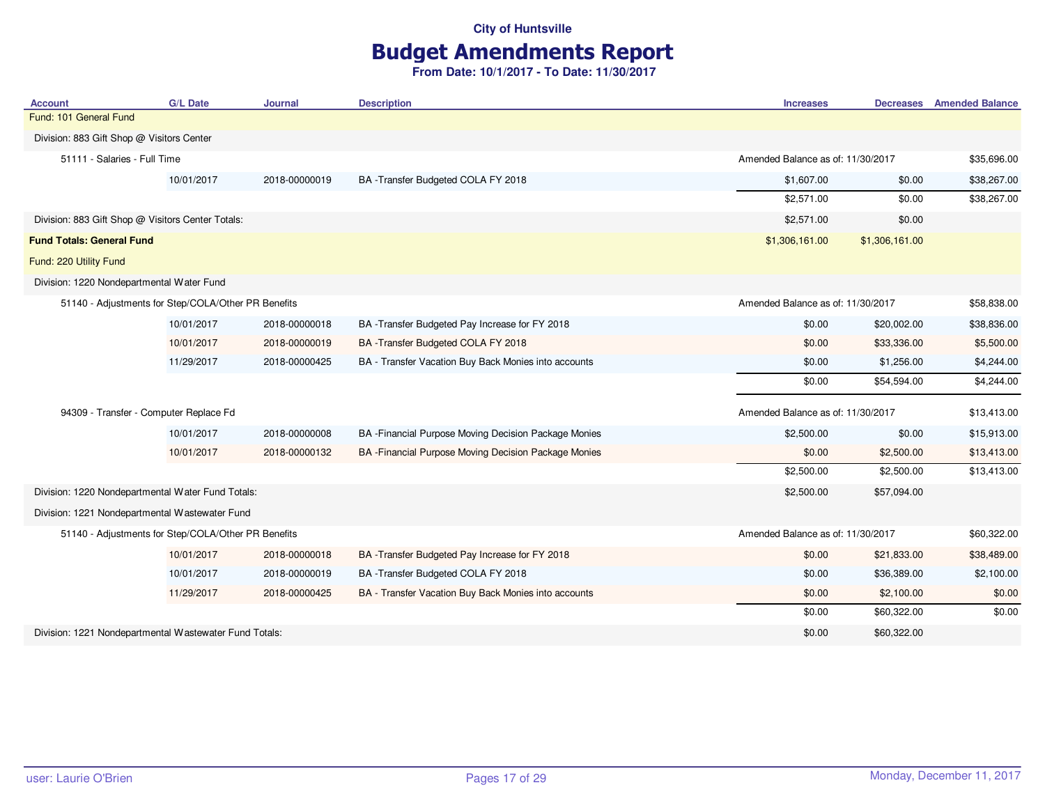# Budget Amendments Report

| <b>Account</b>                                         | <b>G/L Date</b> | <b>Journal</b> | <b>Description</b>                                    | <b>Increases</b>                  |                | <b>Decreases</b> Amended Balance |
|--------------------------------------------------------|-----------------|----------------|-------------------------------------------------------|-----------------------------------|----------------|----------------------------------|
| Fund: 101 General Fund                                 |                 |                |                                                       |                                   |                |                                  |
| Division: 883 Gift Shop @ Visitors Center              |                 |                |                                                       |                                   |                |                                  |
| 51111 - Salaries - Full Time                           |                 |                |                                                       | Amended Balance as of: 11/30/2017 |                | \$35,696.00                      |
|                                                        | 10/01/2017      | 2018-00000019  | BA-Transfer Budgeted COLA FY 2018                     | \$1,607.00                        | \$0.00         | \$38,267.00                      |
|                                                        |                 |                |                                                       | \$2,571.00                        | \$0.00         | \$38,267.00                      |
| Division: 883 Gift Shop @ Visitors Center Totals:      |                 |                |                                                       | \$2,571.00                        | \$0.00         |                                  |
| <b>Fund Totals: General Fund</b>                       |                 |                |                                                       | \$1,306,161.00                    | \$1,306,161.00 |                                  |
| Fund: 220 Utility Fund                                 |                 |                |                                                       |                                   |                |                                  |
| Division: 1220 Nondepartmental Water Fund              |                 |                |                                                       |                                   |                |                                  |
| 51140 - Adjustments for Step/COLA/Other PR Benefits    |                 |                |                                                       | Amended Balance as of: 11/30/2017 |                | \$58,838.00                      |
|                                                        | 10/01/2017      | 2018-00000018  | BA -Transfer Budgeted Pay Increase for FY 2018        | \$0.00                            | \$20,002.00    | \$38,836.00                      |
|                                                        | 10/01/2017      | 2018-00000019  | BA -Transfer Budgeted COLA FY 2018                    | \$0.00                            | \$33,336.00    | \$5,500.00                       |
|                                                        | 11/29/2017      | 2018-00000425  | BA - Transfer Vacation Buy Back Monies into accounts  | \$0.00                            | \$1,256.00     | \$4,244.00                       |
|                                                        |                 |                |                                                       | \$0.00                            | \$54,594.00    | \$4,244.00                       |
| 94309 - Transfer - Computer Replace Fd                 |                 |                |                                                       | Amended Balance as of: 11/30/2017 |                | \$13,413.00                      |
|                                                        | 10/01/2017      | 2018-00000008  | BA - Financial Purpose Moving Decision Package Monies | \$2,500.00                        | \$0.00         | \$15,913.00                      |
|                                                        | 10/01/2017      | 2018-00000132  | BA - Financial Purpose Moving Decision Package Monies | \$0.00                            | \$2,500.00     | \$13,413.00                      |
|                                                        |                 |                |                                                       | \$2,500.00                        | \$2,500.00     | \$13,413.00                      |
| Division: 1220 Nondepartmental Water Fund Totals:      |                 |                |                                                       | \$2,500.00                        | \$57,094.00    |                                  |
| Division: 1221 Nondepartmental Wastewater Fund         |                 |                |                                                       |                                   |                |                                  |
| 51140 - Adjustments for Step/COLA/Other PR Benefits    |                 |                |                                                       | Amended Balance as of: 11/30/2017 |                | \$60,322.00                      |
|                                                        | 10/01/2017      | 2018-00000018  | BA -Transfer Budgeted Pay Increase for FY 2018        | \$0.00                            | \$21,833.00    | \$38,489.00                      |
|                                                        | 10/01/2017      | 2018-00000019  | BA-Transfer Budgeted COLA FY 2018                     | \$0.00                            | \$36,389.00    | \$2,100.00                       |
|                                                        | 11/29/2017      | 2018-00000425  | BA - Transfer Vacation Buy Back Monies into accounts  | \$0.00                            | \$2,100.00     | \$0.00                           |
|                                                        |                 |                |                                                       | \$0.00                            | \$60,322.00    | \$0.00                           |
| Division: 1221 Nondepartmental Wastewater Fund Totals: |                 |                |                                                       | \$0.00                            | \$60,322.00    |                                  |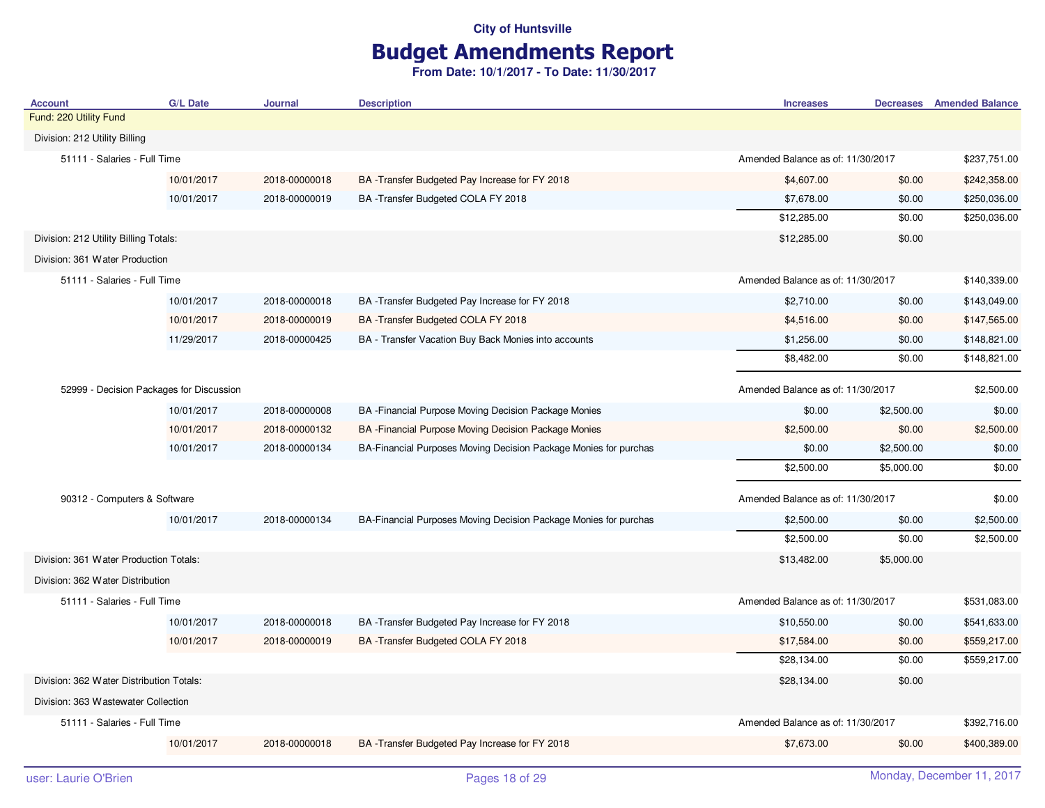## Budget Amendments Report

| <b>Account</b>                           | <b>G/L Date</b> | <b>Journal</b> | <b>Description</b>                                               | <b>Increases</b>                  |            | <b>Decreases</b> Amended Balance |
|------------------------------------------|-----------------|----------------|------------------------------------------------------------------|-----------------------------------|------------|----------------------------------|
| Fund: 220 Utility Fund                   |                 |                |                                                                  |                                   |            |                                  |
| Division: 212 Utility Billing            |                 |                |                                                                  |                                   |            |                                  |
| 51111 - Salaries - Full Time             |                 |                |                                                                  | Amended Balance as of: 11/30/2017 |            | \$237,751.00                     |
|                                          | 10/01/2017      | 2018-00000018  | BA -Transfer Budgeted Pay Increase for FY 2018                   | \$4,607.00                        | \$0.00     | \$242,358.00                     |
|                                          | 10/01/2017      | 2018-00000019  | BA -Transfer Budgeted COLA FY 2018                               | \$7,678.00                        | \$0.00     | \$250,036.00                     |
|                                          |                 |                |                                                                  | \$12,285.00                       | \$0.00     | \$250,036.00                     |
| Division: 212 Utility Billing Totals:    |                 |                |                                                                  | \$12,285.00                       | \$0.00     |                                  |
| Division: 361 Water Production           |                 |                |                                                                  |                                   |            |                                  |
| 51111 - Salaries - Full Time             |                 |                |                                                                  | Amended Balance as of: 11/30/2017 |            | \$140,339.00                     |
|                                          | 10/01/2017      | 2018-00000018  | BA -Transfer Budgeted Pay Increase for FY 2018                   | \$2,710.00                        | \$0.00     | \$143,049.00                     |
|                                          | 10/01/2017      | 2018-00000019  | BA -Transfer Budgeted COLA FY 2018                               | \$4,516.00                        | \$0.00     | \$147,565.00                     |
|                                          | 11/29/2017      | 2018-00000425  | BA - Transfer Vacation Buy Back Monies into accounts             | \$1,256.00                        | \$0.00     | \$148,821.00                     |
|                                          |                 |                |                                                                  | \$8,482.00                        | \$0.00     | \$148,821.00                     |
| 52999 - Decision Packages for Discussion |                 |                |                                                                  | Amended Balance as of: 11/30/2017 |            | \$2,500.00                       |
|                                          | 10/01/2017      | 2018-00000008  | BA - Financial Purpose Moving Decision Package Monies            | \$0.00                            | \$2,500.00 | \$0.00                           |
|                                          | 10/01/2017      | 2018-00000132  | BA - Financial Purpose Moving Decision Package Monies            | \$2,500.00                        | \$0.00     | \$2,500.00                       |
|                                          | 10/01/2017      | 2018-00000134  | BA-Financial Purposes Moving Decision Package Monies for purchas | \$0.00                            | \$2,500.00 | \$0.00                           |
|                                          |                 |                |                                                                  | \$2,500.00                        | \$5,000.00 | \$0.00                           |
| 90312 - Computers & Software             |                 |                |                                                                  | Amended Balance as of: 11/30/2017 |            | \$0.00                           |
|                                          | 10/01/2017      | 2018-00000134  | BA-Financial Purposes Moving Decision Package Monies for purchas | \$2,500.00                        | \$0.00     | \$2,500.00                       |
|                                          |                 |                |                                                                  | \$2,500.00                        | \$0.00     | \$2,500.00                       |
| Division: 361 Water Production Totals:   |                 |                |                                                                  | \$13,482.00                       | \$5,000.00 |                                  |
| Division: 362 Water Distribution         |                 |                |                                                                  |                                   |            |                                  |
| 51111 - Salaries - Full Time             |                 |                |                                                                  | Amended Balance as of: 11/30/2017 |            | \$531,083.00                     |
|                                          | 10/01/2017      | 2018-00000018  | BA-Transfer Budgeted Pay Increase for FY 2018                    | \$10,550.00                       | \$0.00     | \$541,633.00                     |
|                                          | 10/01/2017      | 2018-00000019  | BA -Transfer Budgeted COLA FY 2018                               | \$17,584.00                       | \$0.00     | \$559,217.00                     |
|                                          |                 |                |                                                                  | \$28,134.00                       | \$0.00     | \$559,217.00                     |
| Division: 362 Water Distribution Totals: |                 |                |                                                                  | \$28,134.00                       | \$0.00     |                                  |
| Division: 363 Wastewater Collection      |                 |                |                                                                  |                                   |            |                                  |
| 51111 - Salaries - Full Time             |                 |                |                                                                  | Amended Balance as of: 11/30/2017 |            | \$392,716.00                     |
|                                          | 10/01/2017      | 2018-00000018  | BA -Transfer Budgeted Pay Increase for FY 2018                   | \$7,673.00                        | \$0.00     | \$400,389.00                     |
|                                          |                 |                |                                                                  |                                   |            |                                  |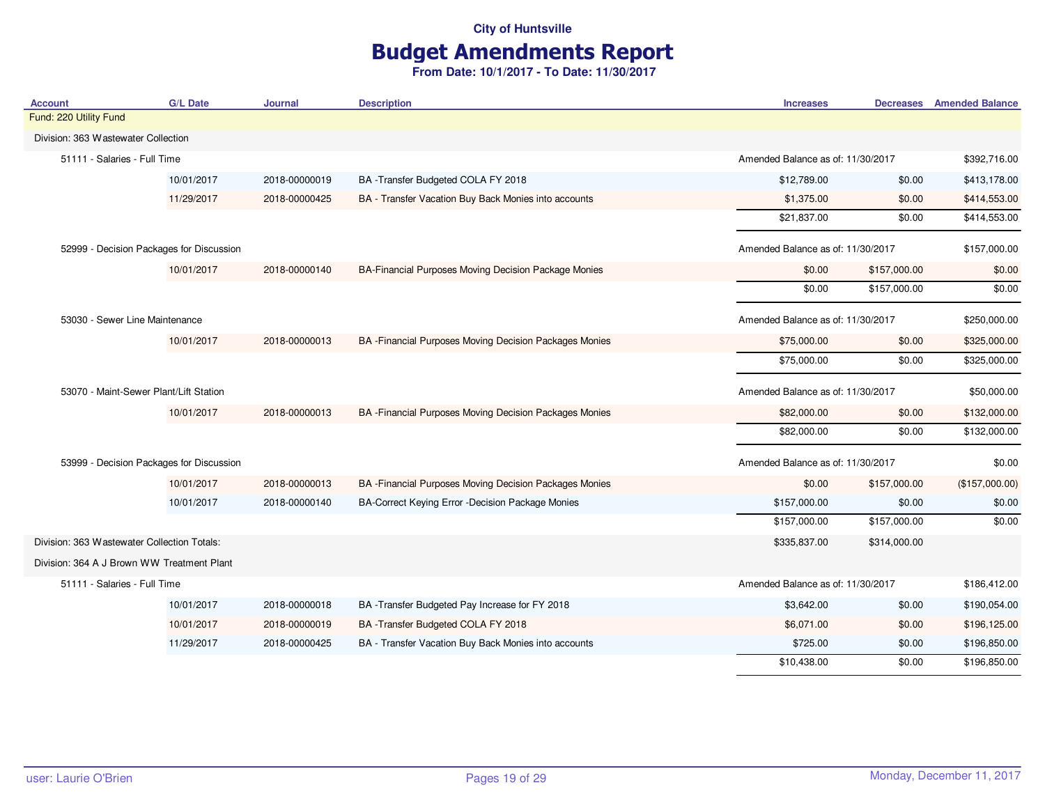## Budget Amendments Report

| <b>Account</b>                              | <b>G/L Date</b>                          | Journal       | <b>Description</b>                                      | <b>Increases</b>                  |                                   | <b>Decreases</b> Amended Balance |
|---------------------------------------------|------------------------------------------|---------------|---------------------------------------------------------|-----------------------------------|-----------------------------------|----------------------------------|
| Fund: 220 Utility Fund                      |                                          |               |                                                         |                                   |                                   |                                  |
| Division: 363 Wastewater Collection         |                                          |               |                                                         |                                   |                                   |                                  |
| 51111 - Salaries - Full Time                |                                          |               |                                                         |                                   | Amended Balance as of: 11/30/2017 |                                  |
|                                             | 10/01/2017                               | 2018-00000019 | BA -Transfer Budgeted COLA FY 2018                      | \$12,789.00                       | \$0.00                            | \$413,178.00                     |
|                                             | 11/29/2017                               | 2018-00000425 | BA - Transfer Vacation Buy Back Monies into accounts    | \$1,375.00                        | \$0.00                            | \$414,553.00                     |
|                                             |                                          |               |                                                         | \$21,837.00                       | \$0.00                            | \$414,553.00                     |
|                                             | 52999 - Decision Packages for Discussion |               |                                                         | Amended Balance as of: 11/30/2017 |                                   | \$157,000.00                     |
|                                             | 10/01/2017                               | 2018-00000140 | BA-Financial Purposes Moving Decision Package Monies    | \$0.00                            | \$157,000.00                      | \$0.00                           |
|                                             |                                          |               |                                                         | \$0.00                            | \$157,000.00                      | \$0.00                           |
| 53030 - Sewer Line Maintenance              |                                          |               |                                                         | Amended Balance as of: 11/30/2017 |                                   | \$250,000.00                     |
|                                             | 10/01/2017                               | 2018-00000013 | BA - Financial Purposes Moving Decision Packages Monies | \$75,000.00                       | \$0.00                            | \$325,000.00                     |
|                                             |                                          |               |                                                         | \$75,000.00                       | \$0.00                            | \$325,000.00                     |
| 53070 - Maint-Sewer Plant/Lift Station      |                                          |               |                                                         | Amended Balance as of: 11/30/2017 |                                   | \$50,000.00                      |
|                                             | 10/01/2017                               | 2018-00000013 | BA - Financial Purposes Moving Decision Packages Monies | \$82,000.00                       | \$0.00                            | \$132,000.00                     |
|                                             |                                          |               |                                                         | \$82,000.00                       | \$0.00                            | \$132,000.00                     |
|                                             | 53999 - Decision Packages for Discussion |               |                                                         | Amended Balance as of: 11/30/2017 |                                   | \$0.00                           |
|                                             | 10/01/2017                               | 2018-00000013 | BA - Financial Purposes Moving Decision Packages Monies | \$0.00                            | \$157,000.00                      | (\$157,000.00)                   |
|                                             | 10/01/2017                               | 2018-00000140 | BA-Correct Keying Error -Decision Package Monies        | \$157,000.00                      | \$0.00                            | \$0.00                           |
|                                             |                                          |               |                                                         | \$157,000.00                      | \$157,000.00                      | \$0.00                           |
| Division: 363 Wastewater Collection Totals: |                                          |               |                                                         | \$335,837.00                      | \$314,000.00                      |                                  |
| Division: 364 A J Brown WW Treatment Plant  |                                          |               |                                                         |                                   |                                   |                                  |
| 51111 - Salaries - Full Time                |                                          |               |                                                         | Amended Balance as of: 11/30/2017 |                                   | \$186,412.00                     |
|                                             | 10/01/2017                               | 2018-00000018 | BA -Transfer Budgeted Pay Increase for FY 2018          | \$3,642.00                        | \$0.00                            | \$190,054.00                     |
|                                             | 10/01/2017                               | 2018-00000019 | BA -Transfer Budgeted COLA FY 2018                      | \$6,071.00                        | \$0.00                            | \$196,125.00                     |
|                                             | 11/29/2017                               | 2018-00000425 | BA - Transfer Vacation Buy Back Monies into accounts    | \$725.00                          | \$0.00                            | \$196,850.00                     |
|                                             |                                          |               |                                                         | \$10,438.00                       | \$0.00                            | \$196,850.00                     |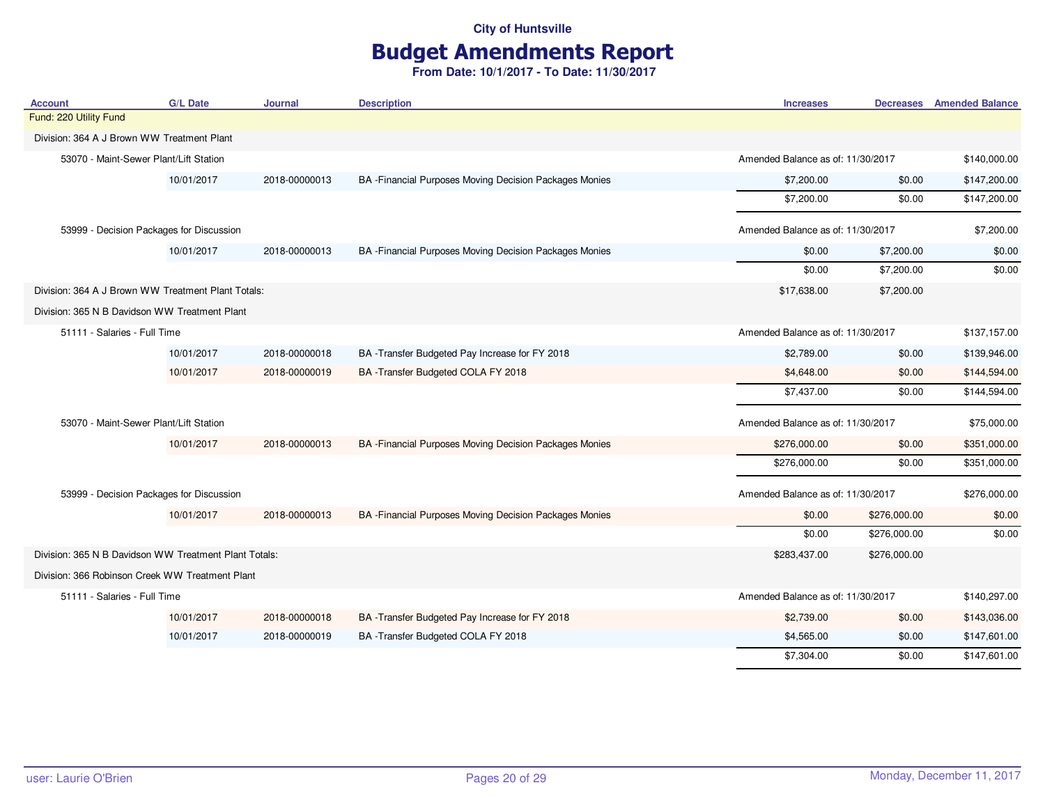# Budget Amendments Report

| <b>Account</b>                                        | <b>G/L Date</b>                          | <b>Journal</b> | <b>Description</b>                                      | <b>Increases</b>                  |                                   | <b>Decreases</b> Amended Balance |
|-------------------------------------------------------|------------------------------------------|----------------|---------------------------------------------------------|-----------------------------------|-----------------------------------|----------------------------------|
| Fund: 220 Utility Fund                                |                                          |                |                                                         |                                   |                                   |                                  |
| Division: 364 A J Brown WW Treatment Plant            |                                          |                |                                                         |                                   |                                   |                                  |
| 53070 - Maint-Sewer Plant/Lift Station                |                                          |                |                                                         | Amended Balance as of: 11/30/2017 |                                   | \$140,000.00                     |
|                                                       | 10/01/2017                               | 2018-00000013  | BA - Financial Purposes Moving Decision Packages Monies | \$7,200.00                        | \$0.00                            | \$147,200.00                     |
|                                                       |                                          |                |                                                         | \$7,200.00                        | \$0.00                            | \$147,200.00                     |
|                                                       | 53999 - Decision Packages for Discussion |                |                                                         | Amended Balance as of: 11/30/2017 |                                   | \$7,200.00                       |
|                                                       | 10/01/2017                               | 2018-00000013  | BA - Financial Purposes Moving Decision Packages Monies | \$0.00                            | \$7,200.00                        | \$0.00                           |
|                                                       |                                          |                |                                                         | \$0.00                            | \$7,200.00                        | \$0.00                           |
| Division: 364 A J Brown WW Treatment Plant Totals:    |                                          |                |                                                         | \$17,638.00                       | \$7,200.00                        |                                  |
| Division: 365 N B Davidson WW Treatment Plant         |                                          |                |                                                         |                                   |                                   |                                  |
| 51111 - Salaries - Full Time                          |                                          |                |                                                         |                                   | Amended Balance as of: 11/30/2017 |                                  |
|                                                       | 10/01/2017                               | 2018-00000018  | BA -Transfer Budgeted Pay Increase for FY 2018          | \$2,789.00                        | \$0.00                            | \$139,946.00                     |
|                                                       | 10/01/2017                               | 2018-00000019  | BA -Transfer Budgeted COLA FY 2018                      | \$4,648.00                        | \$0.00                            | \$144,594.00                     |
|                                                       |                                          |                |                                                         | \$7,437.00                        | \$0.00                            | \$144,594.00                     |
| 53070 - Maint-Sewer Plant/Lift Station                |                                          |                |                                                         | Amended Balance as of: 11/30/2017 |                                   | \$75,000.00                      |
|                                                       | 10/01/2017                               | 2018-00000013  | BA - Financial Purposes Moving Decision Packages Monies | \$276,000.00                      | \$0.00                            | \$351,000.00                     |
|                                                       |                                          |                |                                                         | \$276,000.00                      | \$0.00                            | \$351,000.00                     |
| 53999 - Decision Packages for Discussion              |                                          |                |                                                         | Amended Balance as of: 11/30/2017 |                                   | \$276,000.00                     |
|                                                       | 10/01/2017                               | 2018-00000013  | BA - Financial Purposes Moving Decision Packages Monies | \$0.00                            | \$276,000.00                      | \$0.00                           |
|                                                       |                                          |                |                                                         | \$0.00                            | \$276,000.00                      | \$0.00                           |
| Division: 365 N B Davidson WW Treatment Plant Totals: |                                          |                |                                                         | \$283,437.00                      | \$276,000.00                      |                                  |
| Division: 366 Robinson Creek WW Treatment Plant       |                                          |                |                                                         |                                   |                                   |                                  |
| 51111 - Salaries - Full Time                          |                                          |                |                                                         | Amended Balance as of: 11/30/2017 |                                   | \$140,297.00                     |
|                                                       | 10/01/2017                               | 2018-00000018  | BA -Transfer Budgeted Pay Increase for FY 2018          | \$2,739.00                        | \$0.00                            | \$143,036.00                     |
|                                                       | 10/01/2017                               | 2018-00000019  | BA -Transfer Budgeted COLA FY 2018                      | \$4,565.00                        | \$0.00                            | \$147,601.00                     |
|                                                       |                                          |                |                                                         | \$7,304.00                        | \$0.00                            | \$147,601.00                     |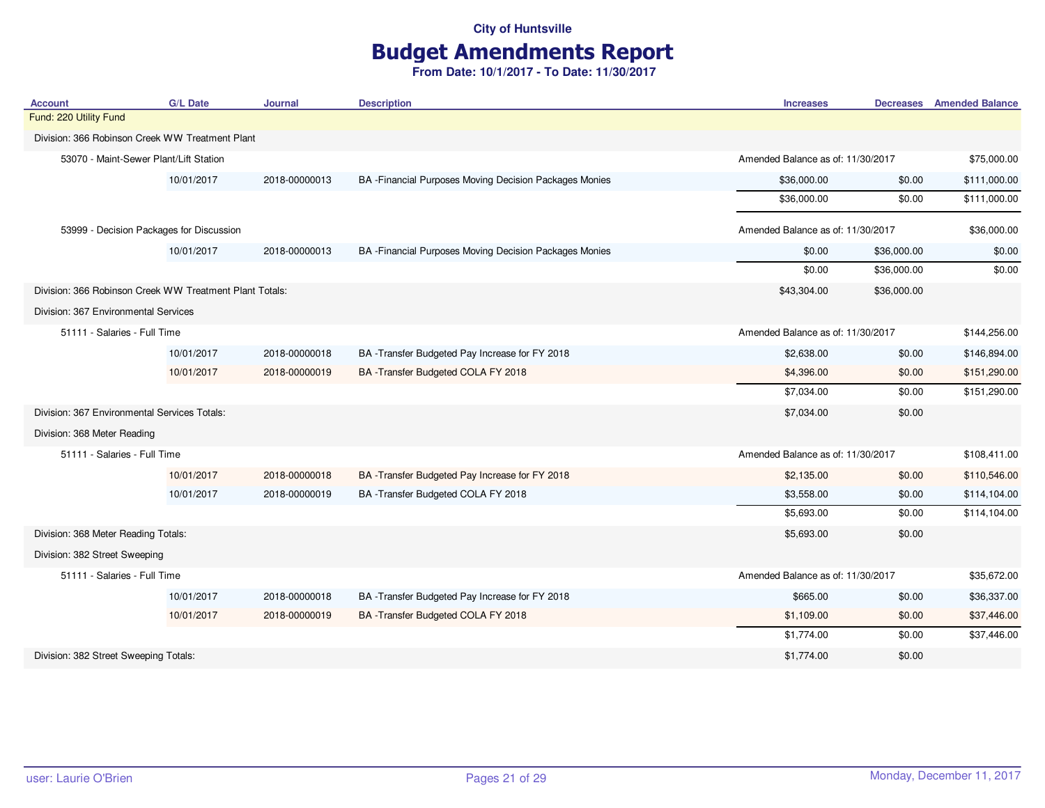## Budget Amendments Report

| <b>Account</b>                                          | <b>G/L Date</b> | <b>Journal</b> | <b>Description</b>                                      | <b>Increases</b>                  |             | <b>Decreases</b> Amended Balance |
|---------------------------------------------------------|-----------------|----------------|---------------------------------------------------------|-----------------------------------|-------------|----------------------------------|
| Fund: 220 Utility Fund                                  |                 |                |                                                         |                                   |             |                                  |
| Division: 366 Robinson Creek WW Treatment Plant         |                 |                |                                                         |                                   |             |                                  |
| 53070 - Maint-Sewer Plant/Lift Station                  |                 |                |                                                         | Amended Balance as of: 11/30/2017 |             | \$75,000.00                      |
|                                                         | 10/01/2017      | 2018-00000013  | BA - Financial Purposes Moving Decision Packages Monies | \$36,000.00                       | \$0.00      | \$111,000.00                     |
|                                                         |                 |                |                                                         | \$36,000.00                       | \$0.00      | \$111,000.00                     |
| 53999 - Decision Packages for Discussion                |                 |                |                                                         | Amended Balance as of: 11/30/2017 |             | \$36,000.00                      |
|                                                         | 10/01/2017      | 2018-00000013  | BA - Financial Purposes Moving Decision Packages Monies | \$0.00                            | \$36,000.00 | \$0.00                           |
|                                                         |                 |                |                                                         | \$0.00                            | \$36,000.00 | \$0.00                           |
| Division: 366 Robinson Creek WW Treatment Plant Totals: |                 |                |                                                         | \$43,304.00                       | \$36,000.00 |                                  |
| Division: 367 Environmental Services                    |                 |                |                                                         |                                   |             |                                  |
| 51111 - Salaries - Full Time                            |                 |                |                                                         | Amended Balance as of: 11/30/2017 |             | \$144,256.00                     |
|                                                         | 10/01/2017      | 2018-00000018  | BA -Transfer Budgeted Pay Increase for FY 2018          | \$2,638.00                        | \$0.00      | \$146,894.00                     |
|                                                         | 10/01/2017      | 2018-00000019  | BA -Transfer Budgeted COLA FY 2018                      | \$4,396.00                        | \$0.00      | \$151,290.00                     |
|                                                         |                 |                |                                                         | \$7,034.00                        | \$0.00      | \$151,290.00                     |
| Division: 367 Environmental Services Totals:            |                 |                |                                                         | \$7,034.00                        | \$0.00      |                                  |
| Division: 368 Meter Reading                             |                 |                |                                                         |                                   |             |                                  |
| 51111 - Salaries - Full Time                            |                 |                |                                                         | Amended Balance as of: 11/30/2017 |             | \$108,411.00                     |
|                                                         | 10/01/2017      | 2018-00000018  | BA -Transfer Budgeted Pay Increase for FY 2018          | \$2,135.00                        | \$0.00      | \$110,546.00                     |
|                                                         | 10/01/2017      | 2018-00000019  | BA-Transfer Budgeted COLA FY 2018                       | \$3,558.00                        | \$0.00      | \$114,104.00                     |
|                                                         |                 |                |                                                         | \$5,693.00                        | \$0.00      | \$114,104.00                     |
| Division: 368 Meter Reading Totals:                     |                 |                |                                                         | \$5,693.00                        | \$0.00      |                                  |
| Division: 382 Street Sweeping                           |                 |                |                                                         |                                   |             |                                  |
| 51111 - Salaries - Full Time                            |                 |                |                                                         | Amended Balance as of: 11/30/2017 |             | \$35,672.00                      |
|                                                         | 10/01/2017      | 2018-00000018  | BA -Transfer Budgeted Pay Increase for FY 2018          | \$665.00                          | \$0.00      | \$36,337.00                      |
|                                                         | 10/01/2017      | 2018-00000019  | BA -Transfer Budgeted COLA FY 2018                      | \$1,109.00                        | \$0.00      | \$37,446.00                      |
|                                                         |                 |                |                                                         | \$1,774.00                        | \$0.00      | \$37,446.00                      |
| Division: 382 Street Sweeping Totals:                   |                 |                |                                                         | \$1,774.00                        | \$0.00      |                                  |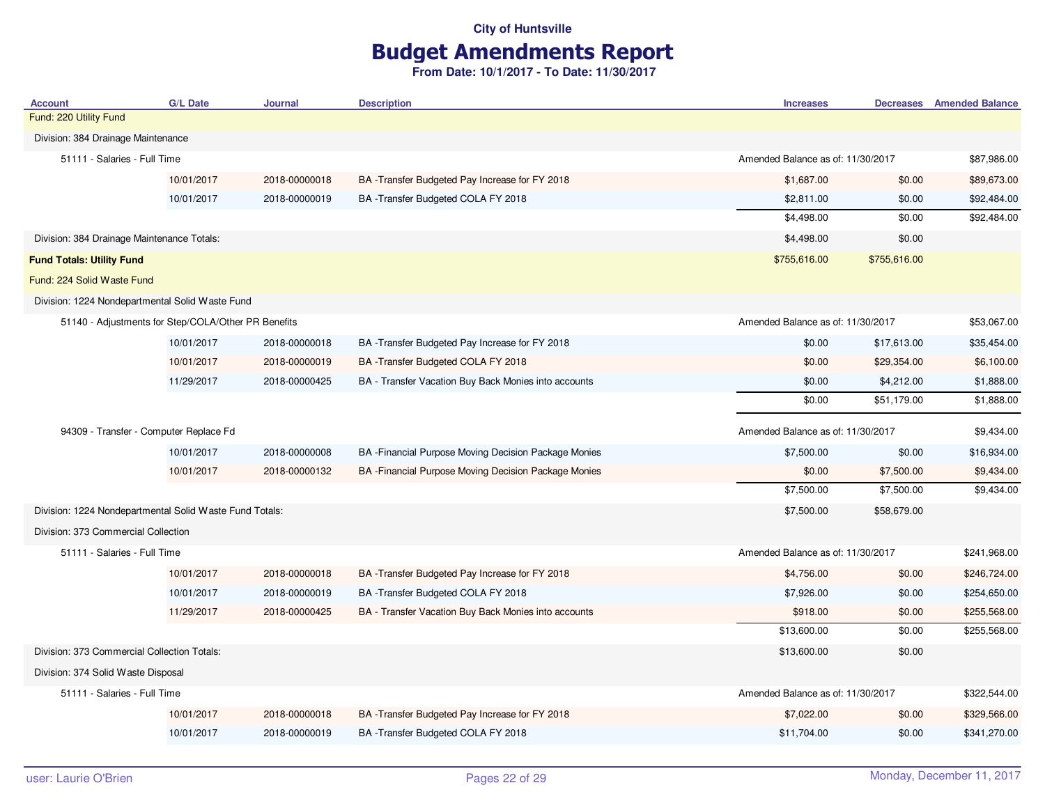## Budget Amendments Report

| <b>Account</b>                                          | <b>G/L Date</b> | <b>Journal</b> | <b>Description</b>                                    | <b>Increases</b>                  |              | <b>Decreases</b> Amended Balance |
|---------------------------------------------------------|-----------------|----------------|-------------------------------------------------------|-----------------------------------|--------------|----------------------------------|
| Fund: 220 Utility Fund                                  |                 |                |                                                       |                                   |              |                                  |
| Division: 384 Drainage Maintenance                      |                 |                |                                                       |                                   |              |                                  |
| 51111 - Salaries - Full Time                            |                 |                |                                                       | Amended Balance as of: 11/30/2017 |              | \$87,986.00                      |
|                                                         | 10/01/2017      | 2018-00000018  | BA -Transfer Budgeted Pay Increase for FY 2018        | \$1,687.00                        | \$0.00       | \$89,673.00                      |
|                                                         | 10/01/2017      | 2018-00000019  | BA -Transfer Budgeted COLA FY 2018                    | \$2,811.00                        | \$0.00       | \$92,484.00                      |
|                                                         |                 |                |                                                       | \$4,498.00                        | \$0.00       | \$92,484.00                      |
| Division: 384 Drainage Maintenance Totals:              |                 |                |                                                       | \$4,498.00                        | \$0.00       |                                  |
| <b>Fund Totals: Utility Fund</b>                        |                 |                |                                                       | \$755,616.00                      | \$755,616.00 |                                  |
| Fund: 224 Solid Waste Fund                              |                 |                |                                                       |                                   |              |                                  |
| Division: 1224 Nondepartmental Solid Waste Fund         |                 |                |                                                       |                                   |              |                                  |
| 51140 - Adjustments for Step/COLA/Other PR Benefits     |                 |                |                                                       | Amended Balance as of: 11/30/2017 |              | \$53,067.00                      |
|                                                         | 10/01/2017      | 2018-00000018  | BA -Transfer Budgeted Pay Increase for FY 2018        | \$0.00                            | \$17,613.00  | \$35,454.00                      |
|                                                         | 10/01/2017      | 2018-00000019  | BA -Transfer Budgeted COLA FY 2018                    | \$0.00                            | \$29,354.00  | \$6,100.00                       |
|                                                         | 11/29/2017      | 2018-00000425  | BA - Transfer Vacation Buy Back Monies into accounts  | \$0.00                            | \$4,212.00   | \$1,888.00                       |
|                                                         |                 |                |                                                       | \$0.00                            | \$51,179.00  | \$1,888.00                       |
| 94309 - Transfer - Computer Replace Fd                  |                 |                |                                                       | Amended Balance as of: 11/30/2017 |              | \$9,434.00                       |
|                                                         | 10/01/2017      | 2018-00000008  | BA - Financial Purpose Moving Decision Package Monies | \$7,500.00                        | \$0.00       | \$16,934.00                      |
|                                                         | 10/01/2017      | 2018-00000132  | BA - Financial Purpose Moving Decision Package Monies | \$0.00                            | \$7,500.00   | \$9,434.00                       |
|                                                         |                 |                |                                                       | \$7,500.00                        | \$7,500.00   | \$9,434.00                       |
| Division: 1224 Nondepartmental Solid Waste Fund Totals: |                 |                |                                                       | \$7,500.00                        | \$58,679.00  |                                  |
| Division: 373 Commercial Collection                     |                 |                |                                                       |                                   |              |                                  |
| 51111 - Salaries - Full Time                            |                 |                |                                                       | Amended Balance as of: 11/30/2017 |              | \$241,968.00                     |
|                                                         | 10/01/2017      | 2018-00000018  | BA -Transfer Budgeted Pay Increase for FY 2018        | \$4,756.00                        | \$0.00       | \$246,724.00                     |
|                                                         | 10/01/2017      | 2018-00000019  | BA -Transfer Budgeted COLA FY 2018                    | \$7,926.00                        | \$0.00       | \$254,650.00                     |
|                                                         | 11/29/2017      | 2018-00000425  | BA - Transfer Vacation Buy Back Monies into accounts  | \$918.00                          | \$0.00       | \$255,568.00                     |
|                                                         |                 |                |                                                       | \$13,600.00                       | \$0.00       | \$255,568.00                     |
| Division: 373 Commercial Collection Totals:             |                 |                |                                                       | \$13,600.00                       | \$0.00       |                                  |
| Division: 374 Solid Waste Disposal                      |                 |                |                                                       |                                   |              |                                  |
| 51111 - Salaries - Full Time                            |                 |                |                                                       | Amended Balance as of: 11/30/2017 |              | \$322,544.00                     |
|                                                         |                 |                |                                                       |                                   |              |                                  |
|                                                         | 10/01/2017      | 2018-00000018  | BA -Transfer Budgeted Pay Increase for FY 2018        | \$7,022.00                        | \$0.00       | \$329,566.00                     |
|                                                         | 10/01/2017      | 2018-00000019  | BA-Transfer Budgeted COLA FY 2018                     | \$11,704.00                       | \$0.00       | \$341,270.00                     |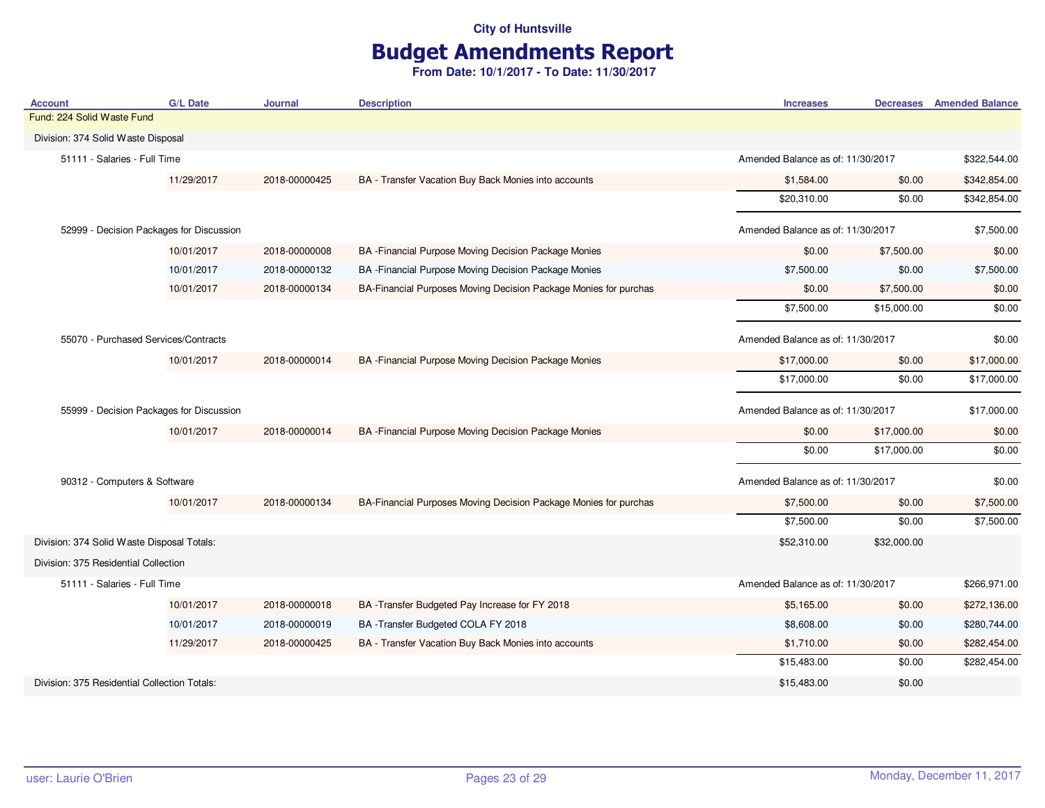## Budget Amendments Report

| <b>Account</b>                               | <b>G/L Date</b> | <b>Journal</b> | <b>Description</b>                                               | <b>Increases</b>                  |             | <b>Decreases</b> Amended Balance |
|----------------------------------------------|-----------------|----------------|------------------------------------------------------------------|-----------------------------------|-------------|----------------------------------|
| Fund: 224 Solid Waste Fund                   |                 |                |                                                                  |                                   |             |                                  |
| Division: 374 Solid Waste Disposal           |                 |                |                                                                  |                                   |             |                                  |
| 51111 - Salaries - Full Time                 |                 |                |                                                                  | Amended Balance as of: 11/30/2017 |             | \$322,544.00                     |
|                                              | 11/29/2017      | 2018-00000425  | BA - Transfer Vacation Buy Back Monies into accounts             | \$1,584.00                        | \$0.00      | \$342,854.00                     |
|                                              |                 |                |                                                                  | \$20,310.00                       | \$0.00      | \$342,854.00                     |
| 52999 - Decision Packages for Discussion     |                 |                |                                                                  | Amended Balance as of: 11/30/2017 |             | \$7,500.00                       |
|                                              | 10/01/2017      | 2018-00000008  | BA - Financial Purpose Moving Decision Package Monies            | \$0.00                            | \$7,500.00  | \$0.00                           |
|                                              | 10/01/2017      | 2018-00000132  | BA - Financial Purpose Moving Decision Package Monies            | \$7,500.00                        | \$0.00      | \$7,500.00                       |
|                                              | 10/01/2017      | 2018-00000134  | BA-Financial Purposes Moving Decision Package Monies for purchas | \$0.00                            | \$7,500.00  | \$0.00                           |
|                                              |                 |                |                                                                  | \$7,500.00                        | \$15,000.00 | \$0.00                           |
| 55070 - Purchased Services/Contracts         |                 |                |                                                                  | Amended Balance as of: 11/30/2017 |             | \$0.00                           |
|                                              | 10/01/2017      | 2018-00000014  | BA - Financial Purpose Moving Decision Package Monies            | \$17,000.00                       | \$0.00      | \$17,000.00                      |
|                                              |                 |                |                                                                  | \$17,000.00                       | \$0.00      | \$17,000.00                      |
| 55999 - Decision Packages for Discussion     |                 |                |                                                                  | Amended Balance as of: 11/30/2017 |             | \$17,000.00                      |
|                                              | 10/01/2017      | 2018-00000014  | BA - Financial Purpose Moving Decision Package Monies            | \$0.00                            | \$17,000.00 | \$0.00                           |
|                                              |                 |                |                                                                  | \$0.00                            | \$17,000.00 | \$0.00                           |
| 90312 - Computers & Software                 |                 |                |                                                                  | Amended Balance as of: 11/30/2017 |             | \$0.00                           |
|                                              | 10/01/2017      | 2018-00000134  | BA-Financial Purposes Moving Decision Package Monies for purchas | \$7,500.00                        | \$0.00      | \$7,500.00                       |
|                                              |                 |                |                                                                  | \$7,500.00                        | \$0.00      | \$7,500.00                       |
| Division: 374 Solid Waste Disposal Totals:   |                 |                |                                                                  | \$52,310.00                       | \$32,000.00 |                                  |
| Division: 375 Residential Collection         |                 |                |                                                                  |                                   |             |                                  |
| 51111 - Salaries - Full Time                 |                 |                |                                                                  | Amended Balance as of: 11/30/2017 |             | \$266,971.00                     |
|                                              | 10/01/2017      | 2018-00000018  | BA -Transfer Budgeted Pay Increase for FY 2018                   | \$5,165.00                        | \$0.00      | \$272,136.00                     |
|                                              | 10/01/2017      | 2018-00000019  | BA-Transfer Budgeted COLA FY 2018                                | \$8,608.00                        | \$0.00      | \$280,744.00                     |
|                                              | 11/29/2017      | 2018-00000425  | BA - Transfer Vacation Buy Back Monies into accounts             | \$1,710.00                        | \$0.00      | \$282,454.00                     |
|                                              |                 |                |                                                                  | \$15,483.00                       | \$0.00      | \$282,454.00                     |
| Division: 375 Residential Collection Totals: |                 |                |                                                                  | \$15,483.00                       | \$0.00      |                                  |
|                                              |                 |                |                                                                  |                                   |             |                                  |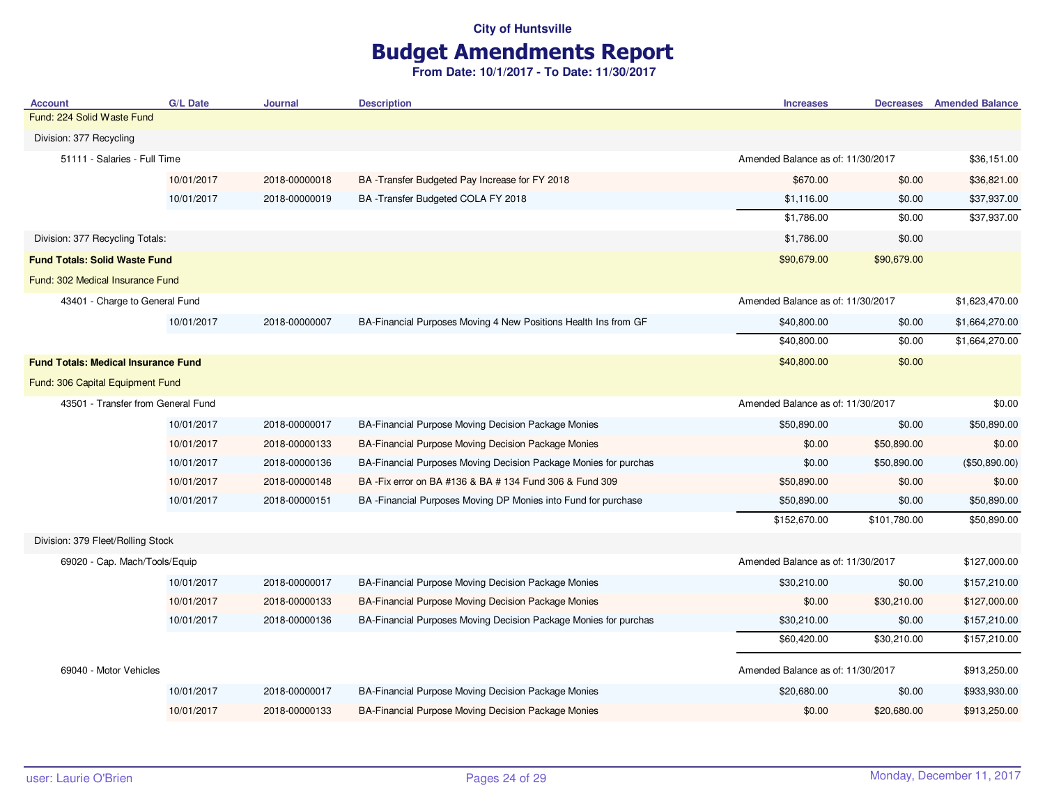## Budget Amendments Report

| <b>Account</b>                             | <b>G/L Date</b> | <b>Journal</b> | <b>Description</b>                                               | <b>Increases</b>                  |              | <b>Decreases</b> Amended Balance |
|--------------------------------------------|-----------------|----------------|------------------------------------------------------------------|-----------------------------------|--------------|----------------------------------|
| Fund: 224 Solid Waste Fund                 |                 |                |                                                                  |                                   |              |                                  |
| Division: 377 Recycling                    |                 |                |                                                                  |                                   |              |                                  |
| 51111 - Salaries - Full Time               |                 |                |                                                                  | Amended Balance as of: 11/30/2017 |              | \$36,151.00                      |
|                                            | 10/01/2017      | 2018-00000018  | BA -Transfer Budgeted Pay Increase for FY 2018                   | \$670.00                          | \$0.00       | \$36,821.00                      |
|                                            | 10/01/2017      | 2018-00000019  | BA-Transfer Budgeted COLA FY 2018                                | \$1,116.00                        | \$0.00       | \$37,937.00                      |
|                                            |                 |                |                                                                  | \$1,786.00                        | \$0.00       | \$37,937.00                      |
| Division: 377 Recycling Totals:            |                 |                |                                                                  | \$1,786.00                        | \$0.00       |                                  |
| <b>Fund Totals: Solid Waste Fund</b>       |                 |                |                                                                  | \$90,679.00                       | \$90,679.00  |                                  |
| Fund: 302 Medical Insurance Fund           |                 |                |                                                                  |                                   |              |                                  |
| 43401 - Charge to General Fund             |                 |                |                                                                  | Amended Balance as of: 11/30/2017 |              | \$1,623,470.00                   |
|                                            | 10/01/2017      | 2018-00000007  | BA-Financial Purposes Moving 4 New Positions Health Ins from GF  | \$40,800.00                       | \$0.00       | \$1,664,270.00                   |
|                                            |                 |                |                                                                  | \$40,800.00                       | \$0.00       | \$1,664,270.00                   |
| <b>Fund Totals: Medical Insurance Fund</b> |                 |                |                                                                  | \$40,800.00                       | \$0.00       |                                  |
| Fund: 306 Capital Equipment Fund           |                 |                |                                                                  |                                   |              |                                  |
| 43501 - Transfer from General Fund         |                 |                |                                                                  | Amended Balance as of: 11/30/2017 |              | \$0.00                           |
|                                            | 10/01/2017      | 2018-00000017  | BA-Financial Purpose Moving Decision Package Monies              | \$50,890.00                       | \$0.00       | \$50,890.00                      |
|                                            | 10/01/2017      | 2018-00000133  | BA-Financial Purpose Moving Decision Package Monies              | \$0.00                            | \$50,890.00  | \$0.00                           |
|                                            | 10/01/2017      | 2018-00000136  | BA-Financial Purposes Moving Decision Package Monies for purchas | \$0.00                            | \$50,890.00  | (\$50,890.00)                    |
|                                            | 10/01/2017      | 2018-00000148  | BA - Fix error on BA #136 & BA # 134 Fund 306 & Fund 309         | \$50,890.00                       | \$0.00       | \$0.00                           |
|                                            | 10/01/2017      | 2018-00000151  | BA -Financial Purposes Moving DP Monies into Fund for purchase   | \$50,890.00                       | \$0.00       | \$50,890.00                      |
|                                            |                 |                |                                                                  | \$152,670.00                      | \$101,780.00 | \$50,890.00                      |
| Division: 379 Fleet/Rolling Stock          |                 |                |                                                                  |                                   |              |                                  |
| 69020 - Cap. Mach/Tools/Equip              |                 |                |                                                                  | Amended Balance as of: 11/30/2017 |              | \$127,000.00                     |
|                                            | 10/01/2017      | 2018-00000017  | BA-Financial Purpose Moving Decision Package Monies              | \$30,210.00                       | \$0.00       | \$157,210.00                     |
|                                            | 10/01/2017      | 2018-00000133  | BA-Financial Purpose Moving Decision Package Monies              | \$0.00                            | \$30,210.00  | \$127,000.00                     |
|                                            | 10/01/2017      | 2018-00000136  | BA-Financial Purposes Moving Decision Package Monies for purchas | \$30,210.00                       | \$0.00       | \$157,210.00                     |
|                                            |                 |                |                                                                  | \$60,420.00                       | \$30,210.00  | \$157,210.00                     |
| 69040 - Motor Vehicles                     |                 |                |                                                                  | Amended Balance as of: 11/30/2017 |              | \$913,250.00                     |
|                                            | 10/01/2017      | 2018-00000017  | BA-Financial Purpose Moving Decision Package Monies              | \$20,680.00                       | \$0.00       | \$933,930.00                     |
|                                            | 10/01/2017      | 2018-00000133  | BA-Financial Purpose Moving Decision Package Monies              | \$0.00                            | \$20,680.00  | \$913,250.00                     |
|                                            |                 |                |                                                                  |                                   |              |                                  |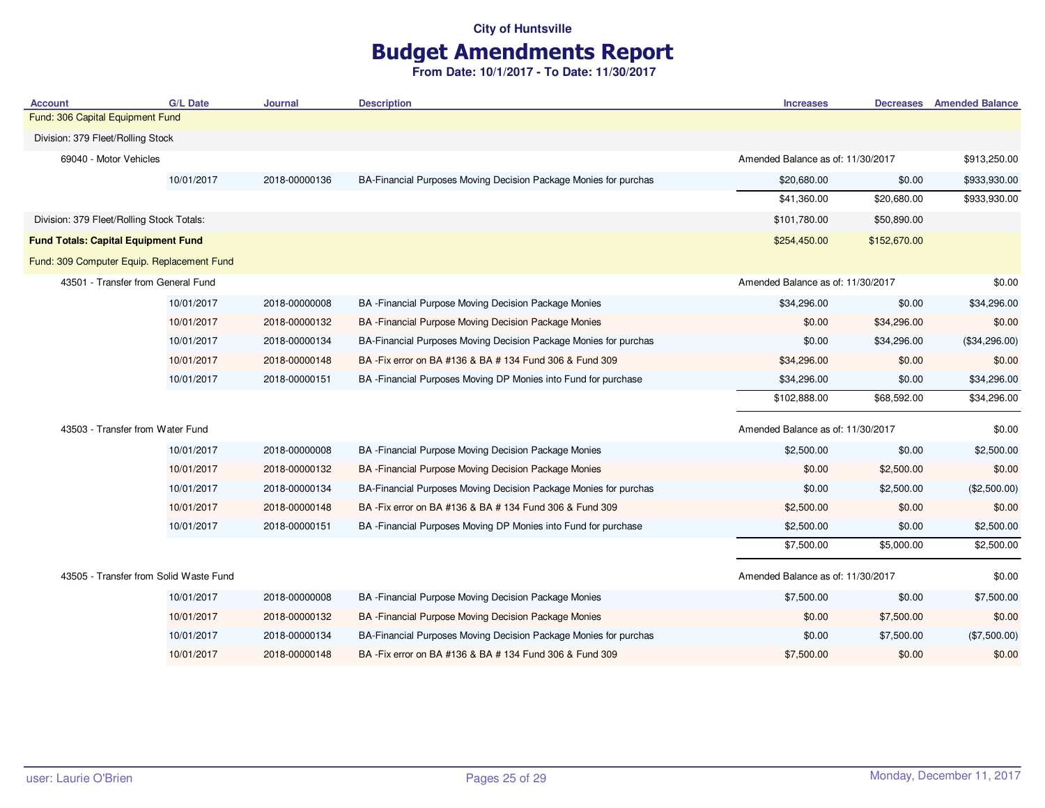# Budget Amendments Report

| <b>Account</b>                             | G/L Date   | Journal       | <b>Description</b>                                               | <b>Increases</b>                  | <b>Decreases</b>                  | <b>Amended Balance</b> |
|--------------------------------------------|------------|---------------|------------------------------------------------------------------|-----------------------------------|-----------------------------------|------------------------|
| Fund: 306 Capital Equipment Fund           |            |               |                                                                  |                                   |                                   |                        |
| Division: 379 Fleet/Rolling Stock          |            |               |                                                                  |                                   |                                   |                        |
| 69040 - Motor Vehicles                     |            |               |                                                                  | Amended Balance as of: 11/30/2017 |                                   | \$913,250.00           |
|                                            | 10/01/2017 | 2018-00000136 | BA-Financial Purposes Moving Decision Package Monies for purchas | \$20,680.00                       | \$0.00                            | \$933,930.00           |
|                                            |            |               |                                                                  | \$41,360.00                       | \$20,680.00                       | \$933,930.00           |
| Division: 379 Fleet/Rolling Stock Totals:  |            |               |                                                                  | \$101,780.00                      | \$50,890.00                       |                        |
| <b>Fund Totals: Capital Equipment Fund</b> |            |               |                                                                  | \$254,450.00                      | \$152,670.00                      |                        |
| Fund: 309 Computer Equip. Replacement Fund |            |               |                                                                  |                                   |                                   |                        |
| 43501 - Transfer from General Fund         |            |               |                                                                  | Amended Balance as of: 11/30/2017 |                                   | \$0.00                 |
|                                            | 10/01/2017 | 2018-00000008 | BA - Financial Purpose Moving Decision Package Monies            | \$34,296.00                       | \$0.00                            | \$34,296.00            |
|                                            | 10/01/2017 | 2018-00000132 | BA - Financial Purpose Moving Decision Package Monies            | \$0.00                            | \$34,296.00                       | \$0.00                 |
|                                            | 10/01/2017 | 2018-00000134 | BA-Financial Purposes Moving Decision Package Monies for purchas | \$0.00                            | \$34,296.00                       | (\$34,296.00)          |
|                                            | 10/01/2017 | 2018-00000148 | BA - Fix error on BA #136 & BA #134 Fund 306 & Fund 309          | \$34,296.00                       | \$0.00                            | \$0.00                 |
|                                            | 10/01/2017 | 2018-00000151 | BA - Financial Purposes Moving DP Monies into Fund for purchase  | \$34,296.00                       | \$0.00                            | \$34,296.00            |
|                                            |            |               |                                                                  | \$102,888.00                      | \$68,592.00                       | \$34,296.00            |
| 43503 - Transfer from Water Fund           |            |               |                                                                  | Amended Balance as of: 11/30/2017 |                                   | \$0.00                 |
|                                            | 10/01/2017 | 2018-00000008 | BA - Financial Purpose Moving Decision Package Monies            | \$2,500.00                        | \$0.00                            | \$2,500.00             |
|                                            | 10/01/2017 | 2018-00000132 | BA - Financial Purpose Moving Decision Package Monies            | \$0.00                            | \$2,500.00                        | \$0.00                 |
|                                            | 10/01/2017 | 2018-00000134 | BA-Financial Purposes Moving Decision Package Monies for purchas | \$0.00                            | \$2,500.00                        | (\$2,500.00)           |
|                                            | 10/01/2017 | 2018-00000148 | BA - Fix error on BA #136 & BA # 134 Fund 306 & Fund 309         | \$2,500.00                        | \$0.00                            | \$0.00                 |
|                                            | 10/01/2017 | 2018-00000151 | BA - Financial Purposes Moving DP Monies into Fund for purchase  | \$2,500.00                        | \$0.00                            | \$2,500.00             |
|                                            |            |               |                                                                  | \$7,500.00                        | \$5,000.00                        | \$2,500.00             |
| 43505 - Transfer from Solid Waste Fund     |            |               |                                                                  |                                   | Amended Balance as of: 11/30/2017 |                        |
|                                            | 10/01/2017 | 2018-00000008 | BA - Financial Purpose Moving Decision Package Monies            | \$7,500.00                        | \$0.00                            | \$7,500.00             |
|                                            | 10/01/2017 | 2018-00000132 | BA - Financial Purpose Moving Decision Package Monies            | \$0.00                            | \$7,500.00                        | \$0.00                 |
|                                            | 10/01/2017 | 2018-00000134 | BA-Financial Purposes Moving Decision Package Monies for purchas | \$0.00                            | \$7,500.00                        | (\$7,500.00)           |
|                                            | 10/01/2017 | 2018-00000148 | BA - Fix error on BA #136 & BA # 134 Fund 306 & Fund 309         | \$7,500.00                        | \$0.00                            | \$0.00                 |
|                                            |            |               |                                                                  |                                   |                                   |                        |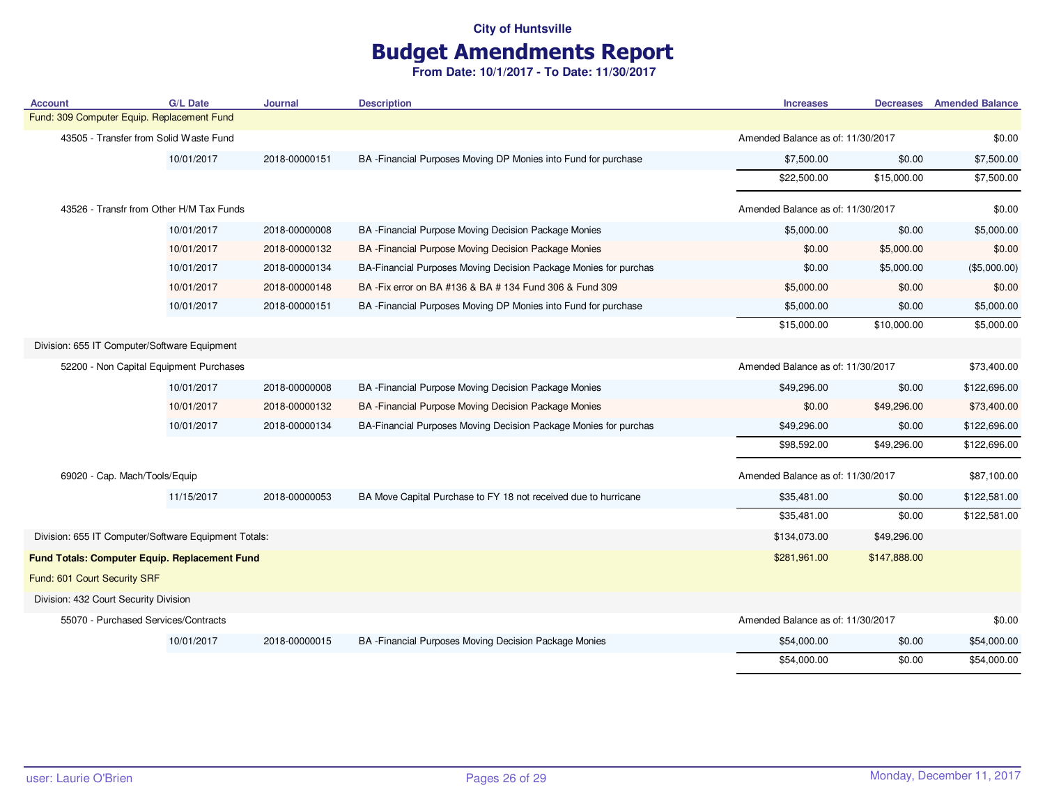## Budget Amendments Report

| <b>Account</b>                                       | <b>G/L Date</b> | Journal       | <b>Description</b>                                               | <b>Increases</b>                  |              | <b>Decreases</b> Amended Balance |
|------------------------------------------------------|-----------------|---------------|------------------------------------------------------------------|-----------------------------------|--------------|----------------------------------|
| Fund: 309 Computer Equip. Replacement Fund           |                 |               |                                                                  |                                   |              |                                  |
| 43505 - Transfer from Solid Waste Fund               |                 |               |                                                                  | Amended Balance as of: 11/30/2017 |              | \$0.00                           |
|                                                      | 10/01/2017      | 2018-00000151 | BA - Financial Purposes Moving DP Monies into Fund for purchase  | \$7,500.00                        | \$0.00       | \$7,500.00                       |
|                                                      |                 |               |                                                                  | \$22,500.00                       | \$15,000.00  | \$7,500.00                       |
| 43526 - Transfr from Other H/M Tax Funds             |                 |               |                                                                  | Amended Balance as of: 11/30/2017 |              | \$0.00                           |
|                                                      | 10/01/2017      | 2018-00000008 | BA - Financial Purpose Moving Decision Package Monies            | \$5,000.00                        | \$0.00       | \$5,000.00                       |
|                                                      | 10/01/2017      | 2018-00000132 | BA - Financial Purpose Moving Decision Package Monies            | \$0.00                            | \$5,000.00   | \$0.00                           |
|                                                      | 10/01/2017      | 2018-00000134 | BA-Financial Purposes Moving Decision Package Monies for purchas | \$0.00                            | \$5,000.00   | (\$5,000.00)                     |
|                                                      | 10/01/2017      | 2018-00000148 | BA - Fix error on BA #136 & BA # 134 Fund 306 & Fund 309         | \$5,000.00                        | \$0.00       | \$0.00                           |
|                                                      | 10/01/2017      | 2018-00000151 | BA - Financial Purposes Moving DP Monies into Fund for purchase  | \$5,000.00                        | \$0.00       | \$5,000.00                       |
|                                                      |                 |               |                                                                  | \$15,000.00                       | \$10,000.00  | \$5,000.00                       |
| Division: 655 IT Computer/Software Equipment         |                 |               |                                                                  |                                   |              |                                  |
| 52200 - Non Capital Equipment Purchases              |                 |               |                                                                  | Amended Balance as of: 11/30/2017 |              | \$73,400.00                      |
|                                                      | 10/01/2017      | 2018-00000008 | BA - Financial Purpose Moving Decision Package Monies            | \$49,296.00                       | \$0.00       | \$122,696.00                     |
|                                                      | 10/01/2017      | 2018-00000132 | BA - Financial Purpose Moving Decision Package Monies            | \$0.00                            | \$49,296.00  | \$73,400.00                      |
|                                                      | 10/01/2017      | 2018-00000134 | BA-Financial Purposes Moving Decision Package Monies for purchas | \$49,296.00                       | \$0.00       | \$122,696.00                     |
|                                                      |                 |               |                                                                  | \$98,592.00                       | \$49,296.00  | \$122,696.00                     |
| 69020 - Cap. Mach/Tools/Equip                        |                 |               |                                                                  | Amended Balance as of: 11/30/2017 |              | \$87,100.00                      |
|                                                      | 11/15/2017      | 2018-00000053 | BA Move Capital Purchase to FY 18 not received due to hurricane  | \$35,481.00                       | \$0.00       | \$122,581.00                     |
|                                                      |                 |               |                                                                  | \$35,481.00                       | \$0.00       | \$122,581.00                     |
| Division: 655 IT Computer/Software Equipment Totals: |                 |               |                                                                  | \$134,073.00                      | \$49,296.00  |                                  |
| <b>Fund Totals: Computer Equip. Replacement Fund</b> |                 |               |                                                                  | \$281,961.00                      | \$147,888.00 |                                  |
| Fund: 601 Court Security SRF                         |                 |               |                                                                  |                                   |              |                                  |
| Division: 432 Court Security Division                |                 |               |                                                                  |                                   |              |                                  |
| 55070 - Purchased Services/Contracts                 |                 |               |                                                                  | Amended Balance as of: 11/30/2017 |              | \$0.00                           |
|                                                      | 10/01/2017      | 2018-00000015 | BA - Financial Purposes Moving Decision Package Monies           | \$54,000.00                       | \$0.00       | \$54,000.00                      |
|                                                      |                 |               |                                                                  | \$54,000.00                       | \$0.00       | \$54,000.00                      |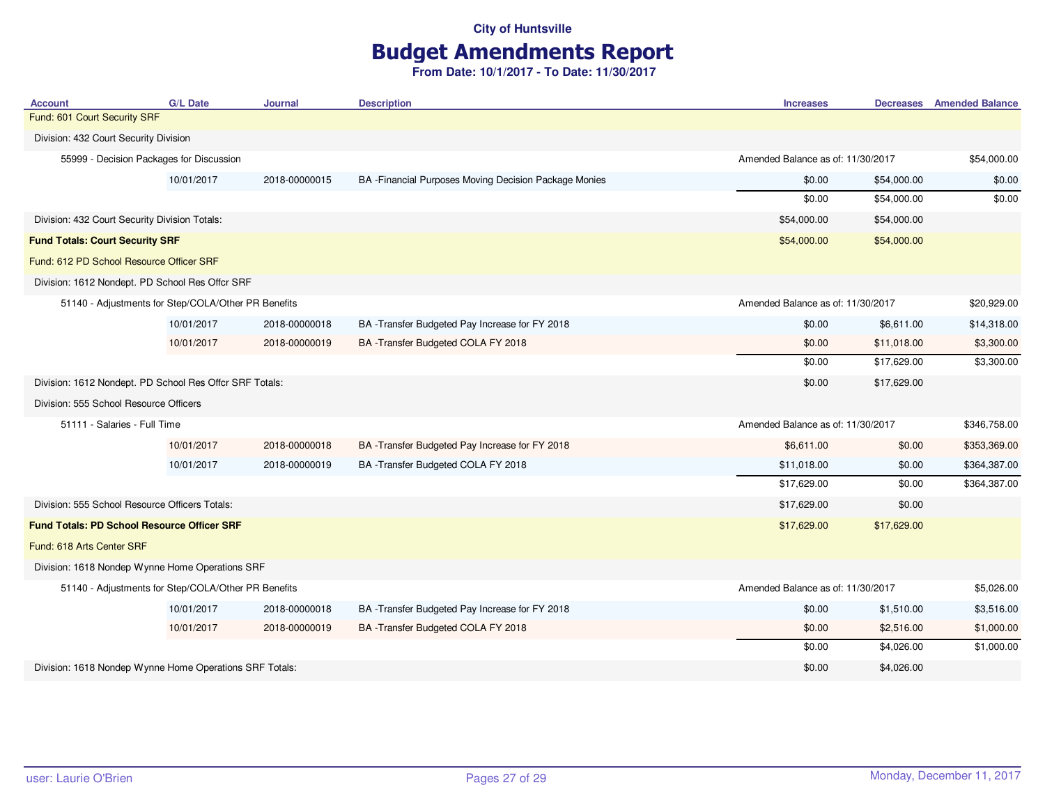## Budget Amendments Report

| <b>Account</b>                                          | <b>G/L Date</b>                                         | <b>Journal</b> | <b>Description</b>                                     | <b>Increases</b>                  |             | <b>Decreases</b> Amended Balance |
|---------------------------------------------------------|---------------------------------------------------------|----------------|--------------------------------------------------------|-----------------------------------|-------------|----------------------------------|
| Fund: 601 Court Security SRF                            |                                                         |                |                                                        |                                   |             |                                  |
| Division: 432 Court Security Division                   |                                                         |                |                                                        |                                   |             |                                  |
| 55999 - Decision Packages for Discussion                |                                                         |                |                                                        | Amended Balance as of: 11/30/2017 |             | \$54,000.00                      |
|                                                         | 10/01/2017                                              | 2018-00000015  | BA - Financial Purposes Moving Decision Package Monies | \$0.00                            | \$54,000.00 | \$0.00                           |
|                                                         |                                                         |                |                                                        | \$0.00                            | \$54,000.00 | \$0.00                           |
| Division: 432 Court Security Division Totals:           |                                                         |                |                                                        | \$54,000.00                       | \$54,000.00 |                                  |
| <b>Fund Totals: Court Security SRF</b>                  |                                                         |                |                                                        | \$54,000.00                       | \$54,000.00 |                                  |
| Fund: 612 PD School Resource Officer SRF                |                                                         |                |                                                        |                                   |             |                                  |
| Division: 1612 Nondept. PD School Res Offcr SRF         |                                                         |                |                                                        |                                   |             |                                  |
| 51140 - Adjustments for Step/COLA/Other PR Benefits     |                                                         |                |                                                        | Amended Balance as of: 11/30/2017 |             | \$20,929.00                      |
|                                                         | 10/01/2017                                              | 2018-00000018  | BA -Transfer Budgeted Pay Increase for FY 2018         | \$0.00                            | \$6,611.00  | \$14,318.00                      |
|                                                         | 10/01/2017                                              | 2018-00000019  | BA-Transfer Budgeted COLA FY 2018                      | \$0.00                            | \$11,018.00 | \$3,300.00                       |
|                                                         |                                                         |                |                                                        | \$0.00                            | \$17,629.00 | \$3,300.00                       |
| Division: 1612 Nondept. PD School Res Offcr SRF Totals: |                                                         |                |                                                        | \$0.00                            | \$17,629.00 |                                  |
| Division: 555 School Resource Officers                  |                                                         |                |                                                        |                                   |             |                                  |
| 51111 - Salaries - Full Time                            |                                                         |                |                                                        | Amended Balance as of: 11/30/2017 |             | \$346,758.00                     |
|                                                         | 10/01/2017                                              | 2018-00000018  | BA -Transfer Budgeted Pay Increase for FY 2018         | \$6,611.00                        | \$0.00      | \$353,369.00                     |
|                                                         | 10/01/2017                                              | 2018-00000019  | BA-Transfer Budgeted COLA FY 2018                      | \$11,018.00                       | \$0.00      | \$364,387.00                     |
|                                                         |                                                         |                |                                                        | \$17,629.00                       | \$0.00      | \$364,387.00                     |
| Division: 555 School Resource Officers Totals:          |                                                         |                |                                                        | \$17,629.00                       | \$0.00      |                                  |
| <b>Fund Totals: PD School Resource Officer SRF</b>      |                                                         |                |                                                        | \$17,629.00                       | \$17,629.00 |                                  |
| Fund: 618 Arts Center SRF                               |                                                         |                |                                                        |                                   |             |                                  |
| Division: 1618 Nondep Wynne Home Operations SRF         |                                                         |                |                                                        |                                   |             |                                  |
| 51140 - Adjustments for Step/COLA/Other PR Benefits     |                                                         |                |                                                        | Amended Balance as of: 11/30/2017 |             | \$5,026.00                       |
|                                                         | 10/01/2017                                              | 2018-00000018  | BA -Transfer Budgeted Pay Increase for FY 2018         | \$0.00                            | \$1,510.00  | \$3,516.00                       |
|                                                         | 10/01/2017                                              | 2018-00000019  | BA-Transfer Budgeted COLA FY 2018                      | \$0.00                            | \$2,516.00  | \$1,000.00                       |
|                                                         |                                                         |                |                                                        | \$0.00                            | \$4,026.00  | \$1,000.00                       |
|                                                         | Division: 1618 Nondep Wynne Home Operations SRF Totals: |                |                                                        |                                   | \$4,026.00  |                                  |
|                                                         |                                                         |                |                                                        |                                   |             |                                  |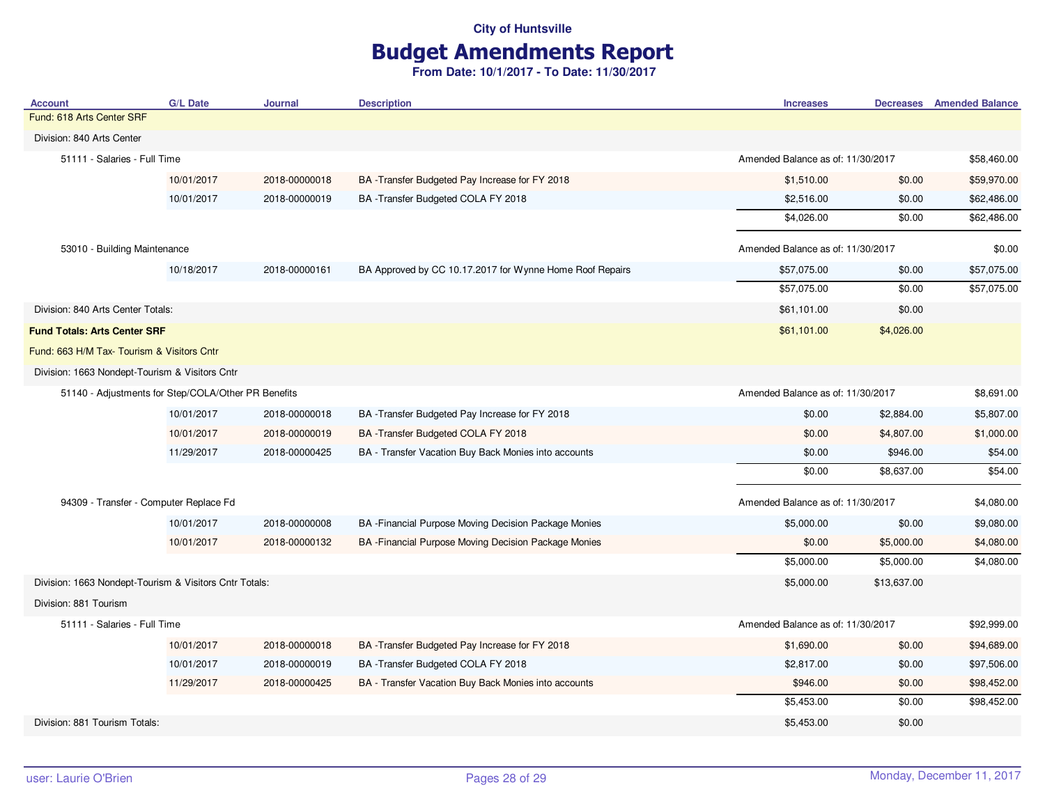# Budget Amendments Report

| <b>Account</b>                      | <b>G/L Date</b>                                                                                                                                                                                                                                                                                                                                                                                                                                                                  | Journal       | <b>Description</b>                                       | <b>Increases</b>                  |                                   | <b>Decreases</b> Amended Balance |
|-------------------------------------|----------------------------------------------------------------------------------------------------------------------------------------------------------------------------------------------------------------------------------------------------------------------------------------------------------------------------------------------------------------------------------------------------------------------------------------------------------------------------------|---------------|----------------------------------------------------------|-----------------------------------|-----------------------------------|----------------------------------|
| Fund: 618 Arts Center SRF           |                                                                                                                                                                                                                                                                                                                                                                                                                                                                                  |               |                                                          |                                   |                                   |                                  |
| Division: 840 Arts Center           |                                                                                                                                                                                                                                                                                                                                                                                                                                                                                  |               |                                                          |                                   |                                   |                                  |
|                                     |                                                                                                                                                                                                                                                                                                                                                                                                                                                                                  |               |                                                          | Amended Balance as of: 11/30/2017 |                                   | \$58,460.00                      |
|                                     | 10/01/2017                                                                                                                                                                                                                                                                                                                                                                                                                                                                       | 2018-00000018 | BA-Transfer Budgeted Pay Increase for FY 2018            | \$1,510.00                        | \$0.00                            | \$59,970.00                      |
|                                     | 10/01/2017                                                                                                                                                                                                                                                                                                                                                                                                                                                                       | 2018-00000019 | BA-Transfer Budgeted COLA FY 2018                        | \$2,516.00                        | \$0.00                            | \$62,486.00                      |
|                                     |                                                                                                                                                                                                                                                                                                                                                                                                                                                                                  |               |                                                          | \$4,026.00                        | \$0.00                            | \$62,486.00                      |
|                                     | 51111 - Salaries - Full Time<br>53010 - Building Maintenance<br>10/18/2017<br>Division: 840 Arts Center Totals:<br>Fund: 663 H/M Tax- Tourism & Visitors Cntr<br>Division: 1663 Nondept-Tourism & Visitors Cntr<br>51140 - Adjustments for Step/COLA/Other PR Benefits<br>10/01/2017<br>10/01/2017<br>11/29/2017<br>94309 - Transfer - Computer Replace Fd<br>10/01/2017<br>10/01/2017<br>Division: 1663 Nondept-Tourism & Visitors Cntr Totals:<br>51111 - Salaries - Full Time |               |                                                          | Amended Balance as of: 11/30/2017 |                                   | \$0.00                           |
|                                     |                                                                                                                                                                                                                                                                                                                                                                                                                                                                                  | 2018-00000161 | BA Approved by CC 10.17.2017 for Wynne Home Roof Repairs | \$57,075.00                       | \$0.00                            | \$57,075.00                      |
|                                     |                                                                                                                                                                                                                                                                                                                                                                                                                                                                                  |               |                                                          | \$57,075.00                       | \$0.00                            | \$57,075.00                      |
|                                     |                                                                                                                                                                                                                                                                                                                                                                                                                                                                                  |               |                                                          | \$61,101.00                       | \$0.00                            |                                  |
| <b>Fund Totals: Arts Center SRF</b> |                                                                                                                                                                                                                                                                                                                                                                                                                                                                                  |               |                                                          | \$61,101.00                       | \$4,026.00                        |                                  |
|                                     |                                                                                                                                                                                                                                                                                                                                                                                                                                                                                  |               |                                                          |                                   |                                   |                                  |
|                                     |                                                                                                                                                                                                                                                                                                                                                                                                                                                                                  |               |                                                          |                                   |                                   |                                  |
|                                     |                                                                                                                                                                                                                                                                                                                                                                                                                                                                                  |               |                                                          | Amended Balance as of: 11/30/2017 |                                   | \$8,691.00                       |
|                                     |                                                                                                                                                                                                                                                                                                                                                                                                                                                                                  | 2018-00000018 | BA-Transfer Budgeted Pay Increase for FY 2018            | \$0.00                            | \$2,884.00                        | \$5,807.00                       |
|                                     |                                                                                                                                                                                                                                                                                                                                                                                                                                                                                  | 2018-00000019 | BA -Transfer Budgeted COLA FY 2018                       | \$0.00                            | \$4,807.00                        | \$1,000.00                       |
|                                     |                                                                                                                                                                                                                                                                                                                                                                                                                                                                                  | 2018-00000425 | BA - Transfer Vacation Buy Back Monies into accounts     | \$0.00                            | \$946.00                          | \$54.00                          |
|                                     |                                                                                                                                                                                                                                                                                                                                                                                                                                                                                  |               |                                                          | \$0.00                            | \$8,637.00                        | \$54.00                          |
|                                     |                                                                                                                                                                                                                                                                                                                                                                                                                                                                                  |               |                                                          |                                   | Amended Balance as of: 11/30/2017 |                                  |
|                                     |                                                                                                                                                                                                                                                                                                                                                                                                                                                                                  | 2018-00000008 | BA - Financial Purpose Moving Decision Package Monies    | \$5,000.00                        | \$0.00                            | \$9,080.00                       |
|                                     |                                                                                                                                                                                                                                                                                                                                                                                                                                                                                  | 2018-00000132 | BA - Financial Purpose Moving Decision Package Monies    | \$0.00                            | \$5,000.00                        | \$4,080.00                       |
|                                     |                                                                                                                                                                                                                                                                                                                                                                                                                                                                                  |               |                                                          | \$5,000.00                        | \$5,000.00                        | \$4,080.00                       |
|                                     |                                                                                                                                                                                                                                                                                                                                                                                                                                                                                  |               |                                                          | \$5,000.00                        | \$13,637.00                       |                                  |
| Division: 881 Tourism               |                                                                                                                                                                                                                                                                                                                                                                                                                                                                                  |               |                                                          |                                   |                                   |                                  |
|                                     |                                                                                                                                                                                                                                                                                                                                                                                                                                                                                  |               |                                                          | Amended Balance as of: 11/30/2017 |                                   | \$92,999.00                      |
|                                     | 10/01/2017                                                                                                                                                                                                                                                                                                                                                                                                                                                                       | 2018-00000018 | BA -Transfer Budgeted Pay Increase for FY 2018           | \$1,690.00                        | \$0.00                            | \$94,689.00                      |
|                                     | 10/01/2017                                                                                                                                                                                                                                                                                                                                                                                                                                                                       | 2018-00000019 | BA-Transfer Budgeted COLA FY 2018                        | \$2,817.00                        | \$0.00                            | \$97,506.00                      |
|                                     | 11/29/2017                                                                                                                                                                                                                                                                                                                                                                                                                                                                       | 2018-00000425 | BA - Transfer Vacation Buy Back Monies into accounts     | \$946.00                          | \$0.00                            | \$98,452.00                      |
|                                     |                                                                                                                                                                                                                                                                                                                                                                                                                                                                                  |               |                                                          | \$5,453.00                        | \$0.00                            | \$98,452.00                      |
| Division: 881 Tourism Totals:       |                                                                                                                                                                                                                                                                                                                                                                                                                                                                                  |               |                                                          | \$5,453.00                        | \$0.00                            |                                  |